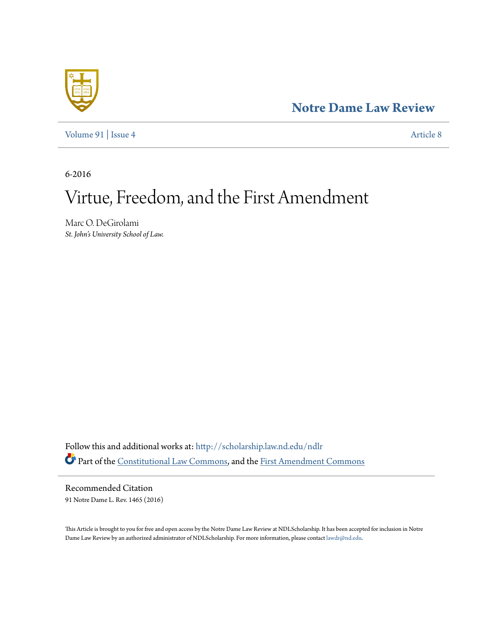# **[Notre Dame Law Review](http://scholarship.law.nd.edu/ndlr?utm_source=scholarship.law.nd.edu%2Fndlr%2Fvol91%2Fiss4%2F8&utm_medium=PDF&utm_campaign=PDFCoverPages)**



[Volume 91](http://scholarship.law.nd.edu/ndlr/vol91?utm_source=scholarship.law.nd.edu%2Fndlr%2Fvol91%2Fiss4%2F8&utm_medium=PDF&utm_campaign=PDFCoverPages) | [Issue 4](http://scholarship.law.nd.edu/ndlr/vol91/iss4?utm_source=scholarship.law.nd.edu%2Fndlr%2Fvol91%2Fiss4%2F8&utm_medium=PDF&utm_campaign=PDFCoverPages) [Article 8](http://scholarship.law.nd.edu/ndlr/vol91/iss4/8?utm_source=scholarship.law.nd.edu%2Fndlr%2Fvol91%2Fiss4%2F8&utm_medium=PDF&utm_campaign=PDFCoverPages)

6-2016

# Virtue, Freedom, and the First Amendment

Marc O. DeGirolami *St. John's University School of Law.*

Follow this and additional works at: [http://scholarship.law.nd.edu/ndlr](http://scholarship.law.nd.edu/ndlr?utm_source=scholarship.law.nd.edu%2Fndlr%2Fvol91%2Fiss4%2F8&utm_medium=PDF&utm_campaign=PDFCoverPages) Part of the [Constitutional Law Commons,](http://network.bepress.com/hgg/discipline/589?utm_source=scholarship.law.nd.edu%2Fndlr%2Fvol91%2Fiss4%2F8&utm_medium=PDF&utm_campaign=PDFCoverPages) and the [First Amendment Commons](http://network.bepress.com/hgg/discipline/1115?utm_source=scholarship.law.nd.edu%2Fndlr%2Fvol91%2Fiss4%2F8&utm_medium=PDF&utm_campaign=PDFCoverPages)

Recommended Citation 91 Notre Dame L. Rev. 1465 (2016)

This Article is brought to you for free and open access by the Notre Dame Law Review at NDLScholarship. It has been accepted for inclusion in Notre Dame Law Review by an authorized administrator of NDLScholarship. For more information, please contact [lawdr@nd.edu](mailto:lawdr@nd.edu).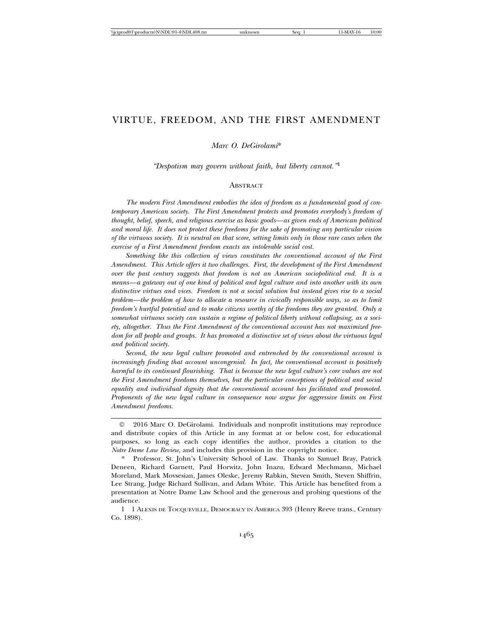# VIRTUE, FREEDOM, AND THE FIRST AMENDMENT

*Marc O. DeGirolami*\*

*"Despotism may govern without faith, but liberty cannot."*<sup>1</sup>

#### **ABSTRACT**

*The modern First Amendment embodies the idea of freedom as a fundamental good of contemporary American society. The First Amendment protects and promotes everybody's freedom of thought, belief, speech, and religious exercise as basic goods—as given ends of American political and moral life. It does not protect these freedoms for the sake of promoting any particular vision of the virtuous society. It is neutral on that score, setting limits only in those rare cases when the exercise of a First Amendment freedom exacts an intolerable social cost.*

*Something like this collection of views constitutes the conventional account of the First Amendment. This Article offers it two challenges. First, the development of the First Amendment over the past century suggests that freedom is not an American sociopolitical end. It is a means—a gateway out of one kind of political and legal culture and into another with its own distinctive virtues and vices. Freedom is not a social solution but instead gives rise to a social problem—the problem of how to allocate a resource in civically responsible ways, so as to limit freedom's hurtful potential and to make citizens worthy of the freedoms they are granted. Only a somewhat virtuous society can sustain a regime of political liberty without collapsing, as a society, altogether. Thus the First Amendment of the conventional account has not maximized freedom for all people and groups. It has promoted a distinctive set of views about the virtuous legal and political society.*

*Second, the new legal culture promoted and entrenched by the conventional account is increasingly finding that account uncongenial. In fact, the conventional account is positively harmful to its continued flourishing. That is because the new legal culture's core values are not the First Amendment freedoms themselves, but the particular conceptions of political and social equality and individual dignity that the conventional account has facilitated and promoted. Proponents of the new legal culture in consequence now argue for aggressive limits on First Amendment freedoms.*

<sup>©</sup> 2016 Marc O. DeGirolami. Individuals and nonprofit institutions may reproduce and distribute copies of this Article in any format at or below cost, for educational purposes, so long as each copy identifies the author, provides a citation to the *Notre Dame Law Review*, and includes this provision in the copyright notice.

<sup>\*</sup> Professor, St. John's University School of Law. Thanks to Samuel Bray, Patrick Deneen, Richard Garnett, Paul Horwitz, John Inazu, Edward Mechmann, Michael Moreland, Mark Movsesian, James Oleske, Jeremy Rabkin, Steven Smith, Steven Shiffrin, Lee Strang, Judge Richard Sullivan, and Adam White. This Article has benefited from a presentation at Notre Dame Law School and the generous and probing questions of the audience.

<sup>1 1</sup> ALEXIS DE TOCQUEVILLE, DEMOCRACY IN AMERICA 393 (Henry Reeve trans., Century Co. 1898).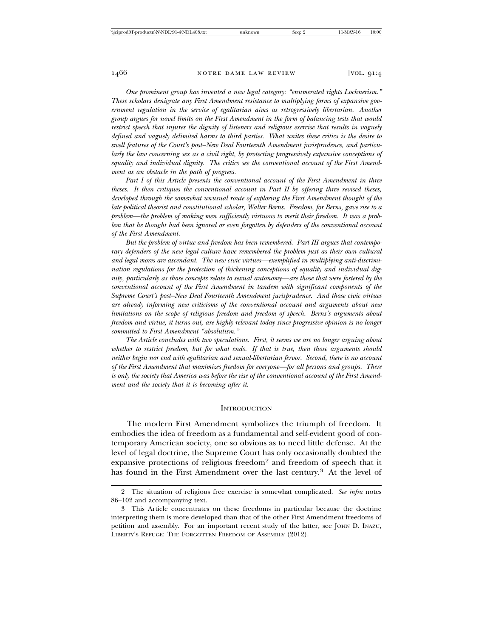*One prominent group has invented a new legal category: "enumerated rights Lochnerism." These scholars denigrate any First Amendment resistance to multiplying forms of expansive government regulation in the service of egalitarian aims as retrogressively libertarian. Another group argues for novel limits on the First Amendment in the form of balancing tests that would restrict speech that injures the dignity of listeners and religious exercise that results in vaguely defined and vaguely delimited harms to third parties. What unites these critics is the desire to swell features of the Court's post–New Deal Fourteenth Amendment jurisprudence, and particularly the law concerning sex as a civil right, by protecting progressively expansive conceptions of equality and individual dignity. The critics see the conventional account of the First Amendment as an obstacle in the path of progress.*

*Part I of this Article presents the conventional account of the First Amendment in three theses. It then critiques the conventional account in Part II by offering three revised theses, developed through the somewhat unusual route of exploring the First Amendment thought of the late political theorist and constitutional scholar, Walter Berns. Freedom, for Berns, gave rise to a problem—the problem of making men sufficiently virtuous to merit their freedom. It was a problem that he thought had been ignored or even forgotten by defenders of the conventional account of the First Amendment.*

*But the problem of virtue and freedom has been remembered. Part III argues that contemporary defenders of the new legal culture have remembered the problem just as their own cultural and legal mores are ascendant. The new civic virtues—exemplified in multiplying anti-discrimination regulations for the protection of thickening conceptions of equality and individual dignity, particularly as those concepts relate to sexual autonomy—are those that were fostered by the conventional account of the First Amendment in tandem with significant components of the Supreme Court's post–New Deal Fourteenth Amendment jurisprudence. And those civic virtues are already informing new criticisms of the conventional account and arguments about new limitations on the scope of religious freedom and freedom of speech. Berns's arguments about freedom and virtue, it turns out, are highly relevant today since progressive opinion is no longer committed to First Amendment "absolutism."*

*The Article concludes with two speculations. First, it seems we are no longer arguing about whether to restrict freedom, but for what ends. If that is true, then those arguments should neither begin nor end with egalitarian and sexual-libertarian fervor. Second, there is no account of the First Amendment that maximizes freedom for everyone—for all persons and groups. There is only the society that America was before the rise of the conventional account of the First Amendment and the society that it is becoming after it.*

#### **INTRODUCTION**

The modern First Amendment symbolizes the triumph of freedom. It embodies the idea of freedom as a fundamental and self-evident good of contemporary American society, one so obvious as to need little defense. At the level of legal doctrine, the Supreme Court has only occasionally doubted the expansive protections of religious freedom<sup>2</sup> and freedom of speech that it has found in the First Amendment over the last century.3 At the level of

<sup>2</sup> The situation of religious free exercise is somewhat complicated. *See infra* notes 86–102 and accompanying text.

<sup>3</sup> This Article concentrates on these freedoms in particular because the doctrine interpreting them is more developed than that of the other First Amendment freedoms of petition and assembly. For an important recent study of the latter, see JOHN D. INAZU, LIBERTY'S REFUGE: THE FORGOTTEN FREEDOM OF ASSEMBLY (2012).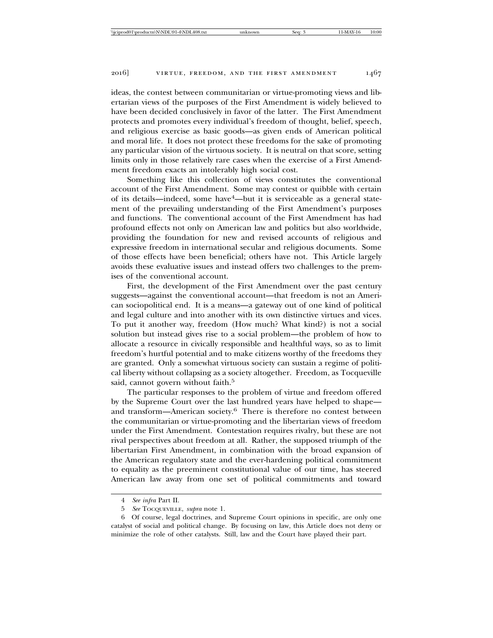ideas, the contest between communitarian or virtue-promoting views and libertarian views of the purposes of the First Amendment is widely believed to have been decided conclusively in favor of the latter. The First Amendment protects and promotes every individual's freedom of thought, belief, speech, and religious exercise as basic goods—as given ends of American political and moral life. It does not protect these freedoms for the sake of promoting any particular vision of the virtuous society. It is neutral on that score, setting limits only in those relatively rare cases when the exercise of a First Amendment freedom exacts an intolerably high social cost.

Something like this collection of views constitutes the conventional account of the First Amendment. Some may contest or quibble with certain of its details—indeed, some have4—but it is serviceable as a general statement of the prevailing understanding of the First Amendment's purposes and functions. The conventional account of the First Amendment has had profound effects not only on American law and politics but also worldwide, providing the foundation for new and revised accounts of religious and expressive freedom in international secular and religious documents. Some of those effects have been beneficial; others have not. This Article largely avoids these evaluative issues and instead offers two challenges to the premises of the conventional account.

First, the development of the First Amendment over the past century suggests—against the conventional account—that freedom is not an American sociopolitical end. It is a means—a gateway out of one kind of political and legal culture and into another with its own distinctive virtues and vices. To put it another way, freedom (How much? What kind?) is not a social solution but instead gives rise to a social problem—the problem of how to allocate a resource in civically responsible and healthful ways, so as to limit freedom's hurtful potential and to make citizens worthy of the freedoms they are granted. Only a somewhat virtuous society can sustain a regime of political liberty without collapsing as a society altogether. Freedom, as Tocqueville said, cannot govern without faith.<sup>5</sup>

The particular responses to the problem of virtue and freedom offered by the Supreme Court over the last hundred years have helped to shape and transform—American society.6 There is therefore no contest between the communitarian or virtue-promoting and the libertarian views of freedom under the First Amendment. Contestation requires rivalry, but these are not rival perspectives about freedom at all. Rather, the supposed triumph of the libertarian First Amendment, in combination with the broad expansion of the American regulatory state and the ever-hardening political commitment to equality as the preeminent constitutional value of our time, has steered American law away from one set of political commitments and toward

<sup>4</sup> *See infra* Part II.

<sup>5</sup> *See* TOCQUEVILLE, *supra* note 1.

<sup>6</sup> Of course, legal doctrines, and Supreme Court opinions in specific, are only one catalyst of social and political change. By focusing on law, this Article does not deny or minimize the role of other catalysts. Still, law and the Court have played their part.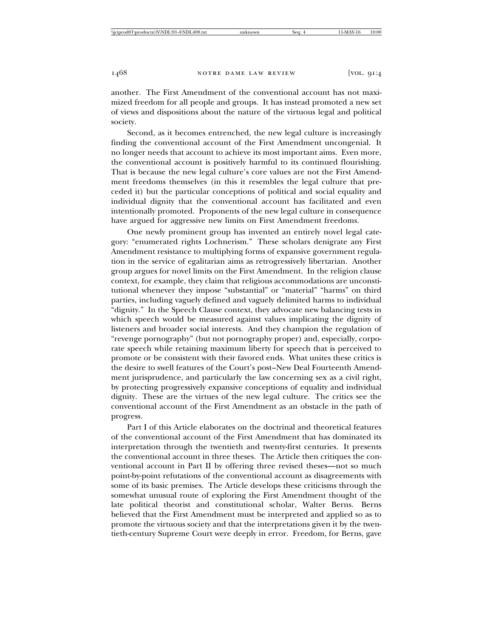another. The First Amendment of the conventional account has not maximized freedom for all people and groups. It has instead promoted a new set of views and dispositions about the nature of the virtuous legal and political society.

Second, as it becomes entrenched, the new legal culture is increasingly finding the conventional account of the First Amendment uncongenial. It no longer needs that account to achieve its most important aims. Even more, the conventional account is positively harmful to its continued flourishing. That is because the new legal culture's core values are not the First Amendment freedoms themselves (in this it resembles the legal culture that preceded it) but the particular conceptions of political and social equality and individual dignity that the conventional account has facilitated and even intentionally promoted. Proponents of the new legal culture in consequence have argued for aggressive new limits on First Amendment freedoms.

One newly prominent group has invented an entirely novel legal category: "enumerated rights Lochnerism." These scholars denigrate any First Amendment resistance to multiplying forms of expansive government regulation in the service of egalitarian aims as retrogressively libertarian. Another group argues for novel limits on the First Amendment. In the religion clause context, for example, they claim that religious accommodations are unconstitutional whenever they impose "substantial" or "material" "harms" on third parties, including vaguely defined and vaguely delimited harms to individual "dignity." In the Speech Clause context, they advocate new balancing tests in which speech would be measured against values implicating the dignity of listeners and broader social interests. And they champion the regulation of "revenge pornography" (but not pornography proper) and, especially, corporate speech while retaining maximum liberty for speech that is perceived to promote or be consistent with their favored ends. What unites these critics is the desire to swell features of the Court's post–New Deal Fourteenth Amendment jurisprudence, and particularly the law concerning sex as a civil right, by protecting progressively expansive conceptions of equality and individual dignity. These are the virtues of the new legal culture. The critics see the conventional account of the First Amendment as an obstacle in the path of progress.

Part I of this Article elaborates on the doctrinal and theoretical features of the conventional account of the First Amendment that has dominated its interpretation through the twentieth and twenty-first centuries. It presents the conventional account in three theses. The Article then critiques the conventional account in Part II by offering three revised theses—not so much point-by-point refutations of the conventional account as disagreements with some of its basic premises. The Article develops these criticisms through the somewhat unusual route of exploring the First Amendment thought of the late political theorist and constitutional scholar, Walter Berns. Berns believed that the First Amendment must be interpreted and applied so as to promote the virtuous society and that the interpretations given it by the twentieth-century Supreme Court were deeply in error. Freedom, for Berns, gave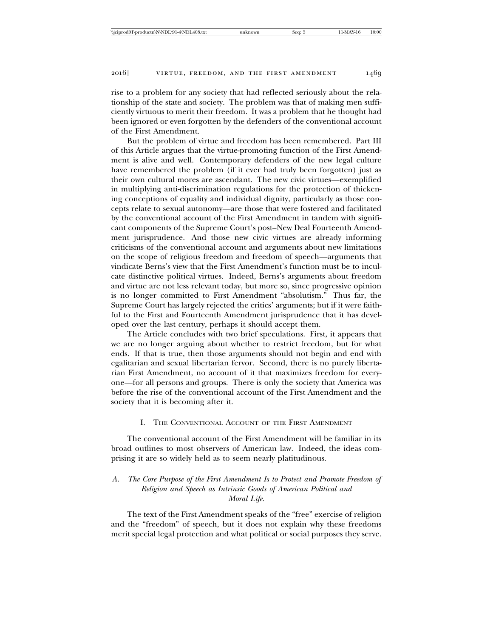rise to a problem for any society that had reflected seriously about the relationship of the state and society. The problem was that of making men sufficiently virtuous to merit their freedom. It was a problem that he thought had been ignored or even forgotten by the defenders of the conventional account of the First Amendment.

But the problem of virtue and freedom has been remembered. Part III of this Article argues that the virtue-promoting function of the First Amendment is alive and well. Contemporary defenders of the new legal culture have remembered the problem (if it ever had truly been forgotten) just as their own cultural mores are ascendant. The new civic virtues—exemplified in multiplying anti-discrimination regulations for the protection of thickening conceptions of equality and individual dignity, particularly as those concepts relate to sexual autonomy—are those that were fostered and facilitated by the conventional account of the First Amendment in tandem with significant components of the Supreme Court's post–New Deal Fourteenth Amendment jurisprudence. And those new civic virtues are already informing criticisms of the conventional account and arguments about new limitations on the scope of religious freedom and freedom of speech—arguments that vindicate Berns's view that the First Amendment's function must be to inculcate distinctive political virtues. Indeed, Berns's arguments about freedom and virtue are not less relevant today, but more so, since progressive opinion is no longer committed to First Amendment "absolutism." Thus far, the Supreme Court has largely rejected the critics' arguments; but if it were faithful to the First and Fourteenth Amendment jurisprudence that it has developed over the last century, perhaps it should accept them.

The Article concludes with two brief speculations. First, it appears that we are no longer arguing about whether to restrict freedom, but for what ends. If that is true, then those arguments should not begin and end with egalitarian and sexual libertarian fervor. Second, there is no purely libertarian First Amendment, no account of it that maximizes freedom for everyone—for all persons and groups. There is only the society that America was before the rise of the conventional account of the First Amendment and the society that it is becoming after it.

# I. THE CONVENTIONAL ACCOUNT OF THE FIRST AMENDMENT

The conventional account of the First Amendment will be familiar in its broad outlines to most observers of American law. Indeed, the ideas comprising it are so widely held as to seem nearly platitudinous.

# *A. The Core Purpose of the First Amendment Is to Protect and Promote Freedom of Religion and Speech as Intrinsic Goods of American Political and Moral Life.*

The text of the First Amendment speaks of the "free" exercise of religion and the "freedom" of speech, but it does not explain why these freedoms merit special legal protection and what political or social purposes they serve.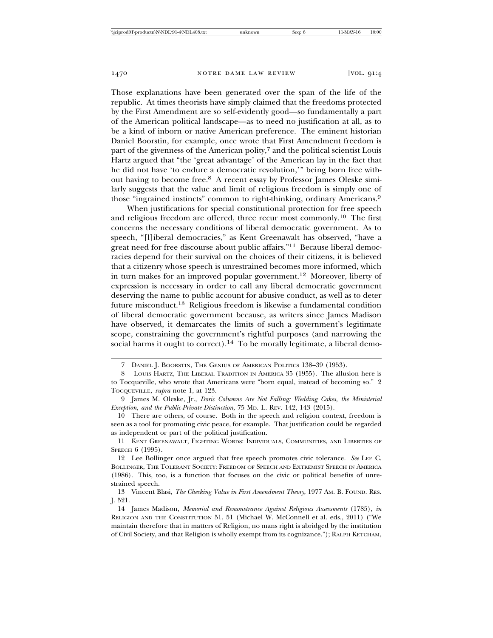Those explanations have been generated over the span of the life of the republic. At times theorists have simply claimed that the freedoms protected by the First Amendment are so self-evidently good—so fundamentally a part of the American political landscape—as to need no justification at all, as to be a kind of inborn or native American preference. The eminent historian Daniel Boorstin, for example, once wrote that First Amendment freedom is part of the givenness of the American polity,7 and the political scientist Louis Hartz argued that "the 'great advantage' of the American lay in the fact that he did not have 'to endure a democratic revolution,'" being born free without having to become free.8 A recent essay by Professor James Oleske similarly suggests that the value and limit of religious freedom is simply one of those "ingrained instincts" common to right-thinking, ordinary Americans.<sup>9</sup>

When justifications for special constitutional protection for free speech and religious freedom are offered, three recur most commonly.10 The first concerns the necessary conditions of liberal democratic government. As to speech, "[l]iberal democracies," as Kent Greenawalt has observed, "have a great need for free discourse about public affairs."11 Because liberal democracies depend for their survival on the choices of their citizens, it is believed that a citizenry whose speech is unrestrained becomes more informed, which in turn makes for an improved popular government.<sup>12</sup> Moreover, liberty of expression is necessary in order to call any liberal democratic government deserving the name to public account for abusive conduct, as well as to deter future misconduct.13 Religious freedom is likewise a fundamental condition of liberal democratic government because, as writers since James Madison have observed, it demarcates the limits of such a government's legitimate scope, constraining the government's rightful purposes (and narrowing the social harms it ought to correct).<sup>14</sup> To be morally legitimate, a liberal demo-

11 KENT GREENAWALT, FIGHTING WORDS: INDIVIDUALS, COMMUNITIES, AND LIBERTIES OF SPEECH 6 (1995).

<sup>7</sup> DANIEL J. BOORSTIN, THE GENIUS OF AMERICAN POLITICS 138–39 (1953).

<sup>8</sup> LOUIS HARTZ, THE LIBERAL TRADITION IN AMERICA 35 (1955). The allusion here is to Tocqueville, who wrote that Americans were "born equal, instead of becoming so." 2 TOCQUEVILLE, *supra* note 1, at 123.

<sup>9</sup> James M. Oleske, Jr., *Doric Columns Are Not Falling: Wedding Cakes, the Ministerial Exception, and the Public-Private Distinction*, 75 MD. L. REV. 142, 143 (2015).

<sup>10</sup> There are others, of course. Both in the speech and religion context, freedom is seen as a tool for promoting civic peace, for example. That justification could be regarded as independent or part of the political justification.

<sup>12</sup> Lee Bollinger once argued that free speech promotes civic tolerance. *See* LEE C. BOLLINGER, THE TOLERANT SOCIETY: FREEDOM OF SPEECH AND EXTREMIST SPEECH IN AMERICA (1986). This, too, is a function that focuses on the civic or political benefits of unrestrained speech.

<sup>13</sup> Vincent Blasi, *The Checking Value in First Amendment Theory*, 1977 AM. B. FOUND. RES. J. 521.

<sup>14</sup> James Madison, *Memorial and Remonstrance Against Religious Assessments* (1785), *in* RELIGION AND THE CONSTITUTION 51, 51 (Michael W. McConnell et al. eds., 2011) ("We maintain therefore that in matters of Religion, no mans right is abridged by the institution of Civil Society, and that Religion is wholly exempt from its cognizance."); RALPH KETCHAM,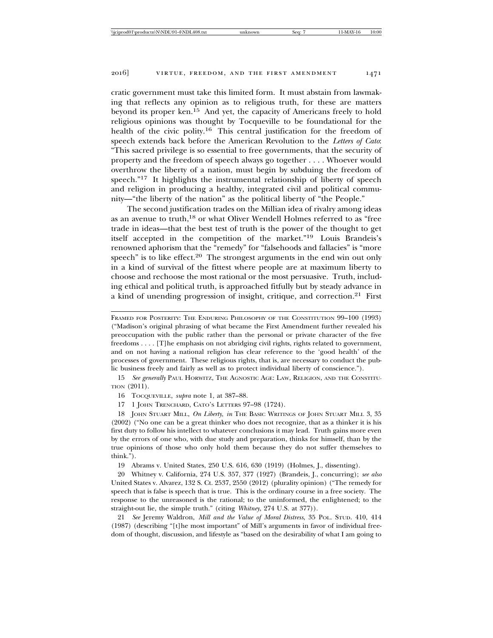cratic government must take this limited form. It must abstain from lawmaking that reflects any opinion as to religious truth, for these are matters beyond its proper ken.<sup>15</sup> And yet, the capacity of Americans freely to hold religious opinions was thought by Tocqueville to be foundational for the health of the civic polity.<sup>16</sup> This central justification for the freedom of speech extends back before the American Revolution to the *Letters of Cato*: "This sacred privilege is so essential to free governments, that the security of property and the freedom of speech always go together . . . . Whoever would overthrow the liberty of a nation, must begin by subduing the freedom of speech."<sup>17</sup> It highlights the instrumental relationship of liberty of speech and religion in producing a healthy, integrated civil and political community—"the liberty of the nation" as the political liberty of "the People."

The second justification trades on the Millian idea of rivalry among ideas as an avenue to truth,18 or what Oliver Wendell Holmes referred to as "free trade in ideas—that the best test of truth is the power of the thought to get itself accepted in the competition of the market."19 Louis Brandeis's renowned aphorism that the "remedy" for "falsehoods and fallacies" is "more speech" is to like effect.<sup>20</sup> The strongest arguments in the end win out only in a kind of survival of the fittest where people are at maximum liberty to choose and rechoose the most rational or the most persuasive. Truth, including ethical and political truth, is approached fitfully but by steady advance in a kind of unending progression of insight, critique, and correction.21 First

15 *See generally* PAUL HORWITZ, THE AGNOSTIC AGE: LAW, RELIGION, AND THE CONSTITU-TION (2011).

16 TOCQUEVILLE, *supra* note 1, at 387–88.

17 1 JOHN TRENCHARD, CATO'S LETTERS 97–98 (1724).

18 JOHN STUART MILL, *On Liberty*, *in* THE BASIC WRITINGS OF JOHN STUART MILL 3, 35 (2002) ("No one can be a great thinker who does not recognize, that as a thinker it is his first duty to follow his intellect to whatever conclusions it may lead. Truth gains more even by the errors of one who, with due study and preparation, thinks for himself, than by the true opinions of those who only hold them because they do not suffer themselves to think.").

19 Abrams v. United States, 250 U.S. 616, 630 (1919) (Holmes, J., dissenting).

20 Whitney v. California, 274 U.S. 357, 377 (1927) (Brandeis, J., concurring); *see also* United States v. Alvarez, 132 S. Ct. 2537, 2550 (2012) (plurality opinion) ("The remedy for speech that is false is speech that is true. This is the ordinary course in a free society. The response to the unreasoned is the rational; to the uninformed, the enlightened; to the straight-out lie, the simple truth." (citing *Whitney*, 274 U.S. at 377)).

21 *See* Jeremy Waldron, *Mill and the Value of Moral Distress*, 35 POL. STUD. 410, 414 (1987) (describing "[t]he most important" of Mill's arguments in favor of individual freedom of thought, discussion, and lifestyle as "based on the desirability of what I am going to

FRAMED FOR POSTERITY: THE ENDURING PHILOSOPHY OF THE CONSTITUTION 99–100 (1993) ("Madison's original phrasing of what became the First Amendment further revealed his preoccupation with the public rather than the personal or private character of the five freedoms . . . . [T]he emphasis on not abridging civil rights, rights related to government, and on not having a national religion has clear reference to the 'good health' of the processes of government. These religious rights, that is, are necessary to conduct the public business freely and fairly as well as to protect individual liberty of conscience.").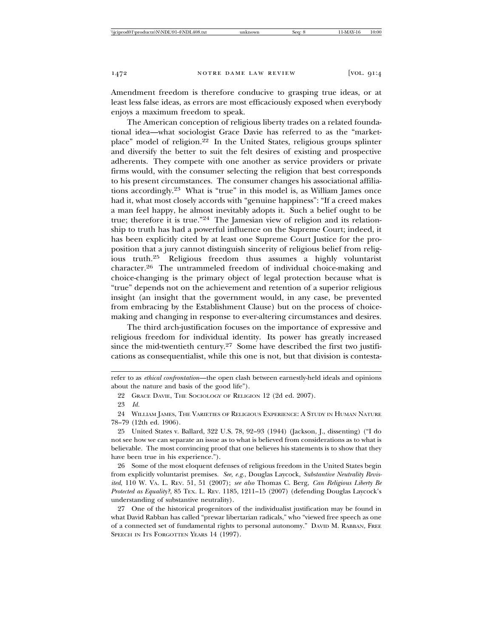Amendment freedom is therefore conducive to grasping true ideas, or at least less false ideas, as errors are most efficaciously exposed when everybody enjoys a maximum freedom to speak.

The American conception of religious liberty trades on a related foundational idea—what sociologist Grace Davie has referred to as the "marketplace" model of religion.22 In the United States, religious groups splinter and diversify the better to suit the felt desires of existing and prospective adherents. They compete with one another as service providers or private firms would, with the consumer selecting the religion that best corresponds to his present circumstances. The consumer changes his associational affiliations accordingly.23 What is "true" in this model is, as William James once had it, what most closely accords with "genuine happiness": "If a creed makes a man feel happy, he almost inevitably adopts it. Such a belief ought to be true; therefore it is true."24 The Jamesian view of religion and its relationship to truth has had a powerful influence on the Supreme Court; indeed, it has been explicitly cited by at least one Supreme Court Justice for the proposition that a jury cannot distinguish sincerity of religious belief from religious truth.25 Religious freedom thus assumes a highly voluntarist character.26 The untrammeled freedom of individual choice-making and choice-changing is the primary object of legal protection because what is "true" depends not on the achievement and retention of a superior religious insight (an insight that the government would, in any case, be prevented from embracing by the Establishment Clause) but on the process of choicemaking and changing in response to ever-altering circumstances and desires.

The third arch-justification focuses on the importance of expressive and religious freedom for individual identity. Its power has greatly increased since the mid-twentieth century.<sup>27</sup> Some have described the first two justifications as consequentialist, while this one is not, but that division is contesta-

refer to as *ethical confrontation*—the open clash between earnestly-held ideals and opinions about the nature and basis of the good life").

<sup>22</sup> GRACE DAVIE, THE SOCIOLOGY OF RELIGION 12 (2d ed. 2007).

<sup>23</sup> *Id.*

<sup>24</sup> WILLIAM JAMES, THE VARIETIES OF RELIGIOUS EXPERIENCE: A STUDY IN HUMAN NATURE 78–79 (12th ed. 1906).

<sup>25</sup> United States v. Ballard, 322 U.S. 78, 92–93 (1944) (Jackson, J., dissenting) ("I do not see how we can separate an issue as to what is believed from considerations as to what is believable. The most convincing proof that one believes his statements is to show that they have been true in his experience.").

<sup>26</sup> Some of the most eloquent defenses of religious freedom in the United States begin from explicitly voluntarist premises. *See, e.g.*, Douglas Laycock, *Substantive Neutrality Revisited*, 110 W. VA. L. REV. 51, 51 (2007); *see also* Thomas C. Berg, *Can Religious Liberty Be Protected as Equality?*, 85 TEX. L. REV. 1185, 1211–15 (2007) (defending Douglas Laycock's understanding of substantive neutrality).

<sup>27</sup> One of the historical progenitors of the individualist justification may be found in what David Rabban has called "prewar libertarian radicals," who "viewed free speech as one of a connected set of fundamental rights to personal autonomy." DAVID M. RABBAN, FREE SPEECH IN ITS FORGOTTEN YEARS 14 (1997).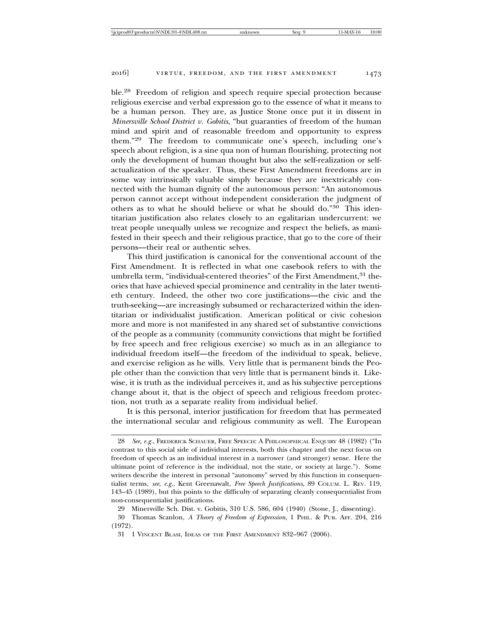ble.28 Freedom of religion and speech require special protection because religious exercise and verbal expression go to the essence of what it means to be a human person. They are, as Justice Stone once put it in dissent in *Minersville School District v. Gobitis*, "but guaranties of freedom of the human mind and spirit and of reasonable freedom and opportunity to express them."29 The freedom to communicate one's speech, including one's speech about religion, is a sine qua non of human flourishing, protecting not only the development of human thought but also the self-realization or selfactualization of the speaker. Thus, these First Amendment freedoms are in some way intrinsically valuable simply because they are inextricably connected with the human dignity of the autonomous person: "An autonomous person cannot accept without independent consideration the judgment of others as to what he should believe or what he should do."30 This identitarian justification also relates closely to an egalitarian undercurrent: we treat people unequally unless we recognize and respect the beliefs, as manifested in their speech and their religious practice, that go to the core of their persons—their real or authentic selves.

This third justification is canonical for the conventional account of the First Amendment. It is reflected in what one casebook refers to with the umbrella term, "individual-centered theories" of the First Amendment, <sup>31</sup> theories that have achieved special prominence and centrality in the later twentieth century. Indeed, the other two core justifications—the civic and the truth-seeking—are increasingly subsumed or recharacterized within the identitarian or individualist justification. American political or civic cohesion more and more is not manifested in any shared set of substantive convictions of the people as a community (community convictions that might be fortified by free speech and free religious exercise) so much as in an allegiance to individual freedom itself—the freedom of the individual to speak, believe, and exercise religion as he wills. Very little that is permanent binds the People other than the conviction that very little that is permanent binds it. Likewise, it is truth as the individual perceives it, and as his subjective perceptions change about it, that is the object of speech and religious freedom protection, not truth as a separate reality from individual belief.

It is this personal, interior justification for freedom that has permeated the international secular and religious community as well. The European

<sup>28</sup> *See, e.g.*, FREDERICK SCHAUER, FREE SPEECH: A PHILOSOPHICAL ENQUIRY 48 (1982) ("In contrast to this social side of individual interests, both this chapter and the next focus on freedom of speech as an individual interest in a narrower (and stronger) sense. Here the ultimate point of reference is the individual, not the state, or society at large."). Some writers describe the interest in personal "autonomy" served by this function in consequentialist terms, *see, e.g.*, Kent Greenawalt, *Free Speech Justifications*, 89 COLUM. L. REV. 119, 143–45 (1989), but this points to the difficulty of separating cleanly consequentialist from non-consequentialist justifications.

<sup>29</sup> Minersville Sch. Dist. v. Gobitis, 310 U.S. 586, 604 (1940) (Stone, J., dissenting).

<sup>30</sup> Thomas Scanlon, *A Theory of Freedom of Expression*, 1 PHIL. & PUB. AFF. 204, 216 (1972).

<sup>31 1</sup> VINCENT BLASI, IDEAS OF THE FIRST AMENDMENT 832–967 (2006).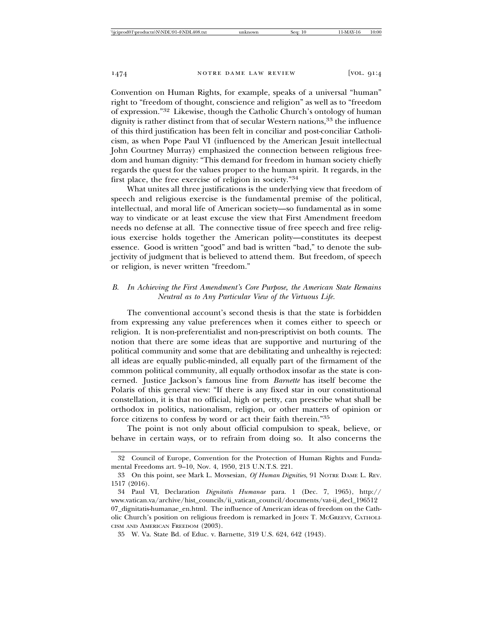Convention on Human Rights, for example, speaks of a universal "human" right to "freedom of thought, conscience and religion" as well as to "freedom of expression."32 Likewise, though the Catholic Church's ontology of human dignity is rather distinct from that of secular Western nations,<sup>33</sup> the influence of this third justification has been felt in conciliar and post-conciliar Catholicism, as when Pope Paul VI (influenced by the American Jesuit intellectual John Courtney Murray) emphasized the connection between religious freedom and human dignity: "This demand for freedom in human society chiefly regards the quest for the values proper to the human spirit. It regards, in the first place, the free exercise of religion in society."<sup>34</sup>

What unites all three justifications is the underlying view that freedom of speech and religious exercise is the fundamental premise of the political, intellectual, and moral life of American society—so fundamental as in some way to vindicate or at least excuse the view that First Amendment freedom needs no defense at all. The connective tissue of free speech and free religious exercise holds together the American polity—constitutes its deepest essence. Good is written "good" and bad is written "bad," to denote the subjectivity of judgment that is believed to attend them. But freedom, of speech or religion, is never written "freedom."

# *B. In Achieving the First Amendment's Core Purpose, the American State Remains Neutral as to Any Particular View of the Virtuous Life.*

The conventional account's second thesis is that the state is forbidden from expressing any value preferences when it comes either to speech or religion. It is non-preferentialist and non-prescriptivist on both counts. The notion that there are some ideas that are supportive and nurturing of the political community and some that are debilitating and unhealthy is rejected: all ideas are equally public-minded, all equally part of the firmament of the common political community, all equally orthodox insofar as the state is concerned. Justice Jackson's famous line from *Barnette* has itself become the Polaris of this general view: "If there is any fixed star in our constitutional constellation, it is that no official, high or petty, can prescribe what shall be orthodox in politics, nationalism, religion, or other matters of opinion or force citizens to confess by word or act their faith therein."<sup>35</sup>

The point is not only about official compulsion to speak, believe, or behave in certain ways, or to refrain from doing so. It also concerns the

<sup>32</sup> Council of Europe, Convention for the Protection of Human Rights and Fundamental Freedoms art. 9–10, Nov. 4, 1950, 213 U.N.T.S. 221.

<sup>33</sup> On this point, see Mark L. Movsesian, *Of Human Dignities*, 91 NOTRE DAME L. REV. 1517 (2016).

<sup>34</sup> Paul VI, Declaration *Dignitatis Humanae* para. 1 (Dec. 7, 1965), http:// www.vatican.va/archive/hist\_councils/ii\_vatican\_council/documents/vat-ii\_decl\_196512 07\_dignitatis-humanae\_en.html. The influence of American ideas of freedom on the Catholic Church's position on religious freedom is remarked in JOHN T. MCGREEVY, CATHOLI-CISM AND AMERICAN FREEDOM (2003).

<sup>35</sup> W. Va. State Bd. of Educ. v. Barnette, 319 U.S. 624, 642 (1943).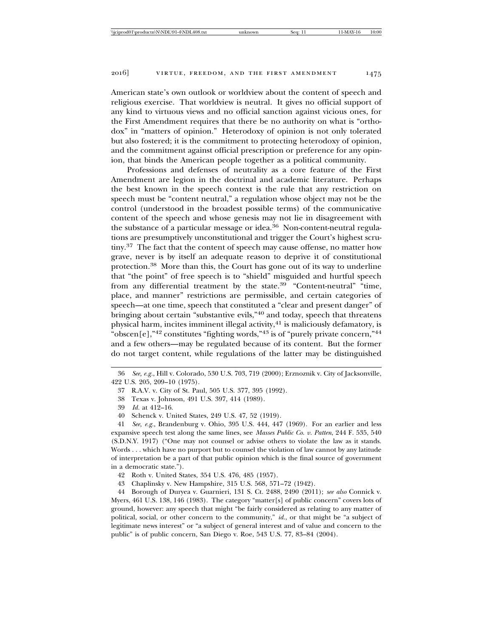American state's own outlook or worldview about the content of speech and religious exercise. That worldview is neutral. It gives no official support of any kind to virtuous views and no official sanction against vicious ones, for the First Amendment requires that there be no authority on what is "orthodox" in "matters of opinion." Heterodoxy of opinion is not only tolerated but also fostered; it is the commitment to protecting heterodoxy of opinion, and the commitment against official prescription or preference for any opinion, that binds the American people together as a political community.

Professions and defenses of neutrality as a core feature of the First Amendment are legion in the doctrinal and academic literature. Perhaps the best known in the speech context is the rule that any restriction on speech must be "content neutral," a regulation whose object may not be the control (understood in the broadest possible terms) of the communicative content of the speech and whose genesis may not lie in disagreement with the substance of a particular message or idea.<sup>36</sup> Non-content-neutral regulations are presumptively unconstitutional and trigger the Court's highest scrutiny.37 The fact that the content of speech may cause offense, no matter how grave, never is by itself an adequate reason to deprive it of constitutional protection.38 More than this, the Court has gone out of its way to underline that "the point" of free speech is to "shield" misguided and hurtful speech from any differential treatment by the state.39 "Content-neutral" "time, place, and manner" restrictions are permissible, and certain categories of speech—at one time, speech that constituted a "clear and present danger" of bringing about certain "substantive evils,"<sup>40</sup> and today, speech that threatens physical harm, incites imminent illegal activity,<sup>41</sup> is maliciously defamatory, is "obscen $[e]$ ,"<sup>42</sup> constitutes "fighting words,"<sup>43</sup> is of "purely private concern,"<sup>44</sup> and a few others—may be regulated because of its content. But the former do not target content, while regulations of the latter may be distinguished

41 *See, e.g.*, Brandenburg v. Ohio, 395 U.S. 444, 447 (1969). For an earlier and less expansive speech test along the same lines, see *Masses Public Co. v. Patten*, 244 F. 535, 540 (S.D.N.Y. 1917) ("One may not counsel or advise others to violate the law as it stands. Words . . . which have no purport but to counsel the violation of law cannot by any latitude of interpretation be a part of that public opinion which is the final source of government in a democratic state.").

43 Chaplinsky v. New Hampshire, 315 U.S. 568, 571–72 (1942).

44 Borough of Duryea v. Guarnieri, 131 S. Ct. 2488, 2490 (2011); *see also* Connick v. Myers, 461 U.S. 138, 146 (1983). The category "matter[s] of public concern" covers lots of ground, however: any speech that might "be fairly considered as relating to any matter of political, social, or other concern to the community," *id.*, or that might be "a subject of legitimate news interest" or "a subject of general interest and of value and concern to the public" is of public concern, San Diego v. Roe, 543 U.S. 77, 83–84 (2004).

<sup>36</sup> *See, e.g.*, Hill v. Colorado, 530 U.S. 703, 719 (2000); Erznoznik v. City of Jacksonville, 422 U.S. 205, 209–10 (1975).

<sup>37</sup> R.A.V. v. City of St. Paul, 505 U.S. 377, 395 (1992).

<sup>38</sup> Texas v. Johnson, 491 U.S. 397, 414 (1989).

<sup>39</sup> *Id.* at 412–16.

<sup>40</sup> Schenck v. United States, 249 U.S. 47, 52 (1919).

<sup>42</sup> Roth v. United States, 354 U.S. 476, 485 (1957).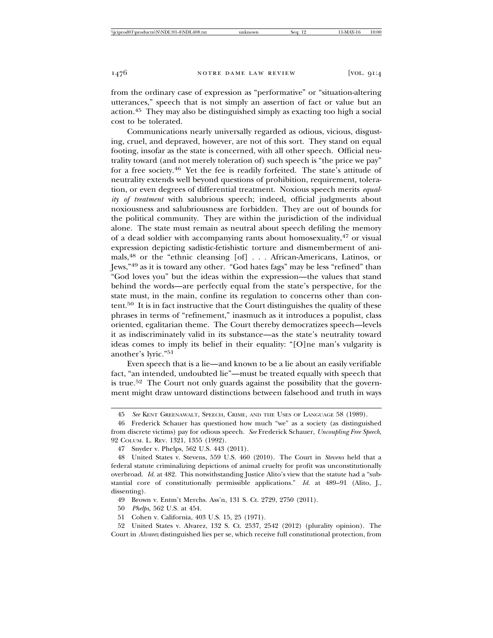from the ordinary case of expression as "performative" or "situation-altering utterances," speech that is not simply an assertion of fact or value but an action.45 They may also be distinguished simply as exacting too high a social cost to be tolerated.

Communications nearly universally regarded as odious, vicious, disgusting, cruel, and depraved, however, are not of this sort. They stand on equal footing, insofar as the state is concerned, with all other speech. Official neutrality toward (and not merely toleration of) such speech is "the price we pay" for a free society.46 Yet the fee is readily forfeited. The state's attitude of neutrality extends well beyond questions of prohibition, requirement, toleration, or even degrees of differential treatment. Noxious speech merits *equality of treatment* with salubrious speech; indeed, official judgments about noxiousness and salubriousness are forbidden. They are out of bounds for the political community. They are within the jurisdiction of the individual alone. The state must remain as neutral about speech defiling the memory of a dead soldier with accompanying rants about homosexuality,47 or visual expression depicting sadistic-fetishistic torture and dismemberment of animals,48 or the "ethnic cleansing [of] . . . African-Americans, Latinos, or Jews,"49 as it is toward any other. "God hates fags" may be less "refined" than "God loves you" but the ideas within the expression—the values that stand behind the words—are perfectly equal from the state's perspective, for the state must, in the main, confine its regulation to concerns other than content.50 It is in fact instructive that the Court distinguishes the quality of these phrases in terms of "refinement," inasmuch as it introduces a populist, class oriented, egalitarian theme. The Court thereby democratizes speech—levels it as indiscriminately valid in its substance—as the state's neutrality toward ideas comes to imply its belief in their equality: "[O]ne man's vulgarity is another's lyric."<sup>51</sup>

Even speech that is a lie—and known to be a lie about an easily verifiable fact, "an intended, undoubted lie"—must be treated equally with speech that is true.<sup>52</sup> The Court not only guards against the possibility that the government might draw untoward distinctions between falsehood and truth in ways

<sup>45</sup> *See* KENT GREENAWALT, SPEECH, CRIME, AND THE USES OF LANGUAGE 58 (1989).

<sup>46</sup> Frederick Schauer has questioned how much "we" as a society (as distinguished from discrete victims) pay for odious speech. *See* Frederick Schauer, *Uncoupling Free Speech*, 92 COLUM. L. REV. 1321, 1355 (1992).

<sup>47</sup> Snyder v. Phelps, 562 U.S. 443 (2011).

<sup>48</sup> United States v. Stevens, 559 U.S. 460 (2010). The Court in *Stevens* held that a federal statute criminalizing depictions of animal cruelty for profit was unconstitutionally overbroad. *Id.* at 482. This notwithstanding Justice Alito's view that the statute had a "substantial core of constitutionally permissible applications." *Id.* at 489–91 (Alito, J., dissenting).

<sup>49</sup> Brown v. Entm't Merchs. Ass'n, 131 S. Ct. 2729, 2750 (2011).

<sup>50</sup> *Phelps*, 562 U.S. at 454.

<sup>51</sup> Cohen v. California, 403 U.S. 15, 25 (1971).

<sup>52</sup> United States v. Alvarez, 132 S. Ct. 2537, 2542 (2012) (plurality opinion). The Court in *Alvarez* distinguished lies per se, which receive full constitutional protection, from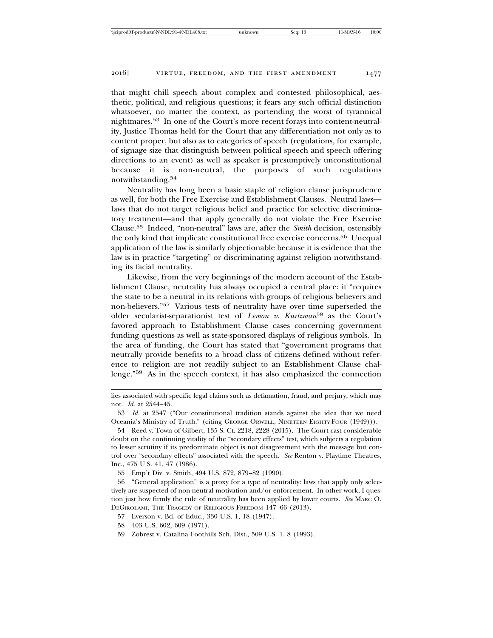that might chill speech about complex and contested philosophical, aesthetic, political, and religious questions; it fears any such official distinction whatsoever, no matter the context, as portending the worst of tyrannical nightmares.53 In one of the Court's more recent forays into content-neutrality, Justice Thomas held for the Court that any differentiation not only as to content proper, but also as to categories of speech (regulations, for example, of signage size that distinguish between political speech and speech offering directions to an event) as well as speaker is presumptively unconstitutional because it is non-neutral, the purposes of such regulations notwithstanding.54

Neutrality has long been a basic staple of religion clause jurisprudence as well, for both the Free Exercise and Establishment Clauses. Neutral laws laws that do not target religious belief and practice for selective discriminatory treatment—and that apply generally do not violate the Free Exercise Clause.55 Indeed, "non-neutral" laws are, after the *Smith* decision, ostensibly the only kind that implicate constitutional free exercise concerns.56 Unequal application of the law is similarly objectionable because it is evidence that the law is in practice "targeting" or discriminating against religion notwithstanding its facial neutrality.

Likewise, from the very beginnings of the modern account of the Establishment Clause, neutrality has always occupied a central place: it "requires the state to be a neutral in its relations with groups of religious believers and non-believers."57 Various tests of neutrality have over time superseded the older secularist-separationist test of *Lemon v. Kurtzman*58 as the Court's favored approach to Establishment Clause cases concerning government funding questions as well as state-sponsored displays of religious symbols. In the area of funding, the Court has stated that "government programs that neutrally provide benefits to a broad class of citizens defined without reference to religion are not readily subject to an Establishment Clause challenge."59 As in the speech context, it has also emphasized the connection

lies associated with specific legal claims such as defamation, fraud, and perjury, which may not. *Id.* at 2544–45.

<sup>53</sup> *Id.* at 2547 ("Our constitutional tradition stands against the idea that we need Oceania's Ministry of Truth." (citing GEORGE ORWELL, NINETEEN EIGHTY-FOUR (1949))).

<sup>54</sup> Reed v. Town of Gilbert, 135 S. Ct. 2218, 2228 (2015). The Court cast considerable doubt on the continuing vitality of the "secondary effects" test, which subjects a regulation to lesser scrutiny if its predominate object is not disagreement with the message but control over "secondary effects" associated with the speech. *See* Renton v. Playtime Theatres, Inc., 475 U.S. 41, 47 (1986).

<sup>55</sup> Emp't Div. v. Smith, 494 U.S. 872, 879–82 (1990).

<sup>56 &</sup>quot;General application" is a proxy for a type of neutrality: laws that apply only selectively are suspected of non-neutral motivation and/or enforcement. In other work, I question just how firmly the rule of neutrality has been applied by lower courts. *See* MARC O. DEGIROLAMI, THE TRAGEDY OF RELIGIOUS FREEDOM 147–66 (2013).

<sup>57</sup> Everson v. Bd. of Educ., 330 U.S. 1, 18 (1947).

<sup>58 403</sup> U.S. 602, 609 (1971).

<sup>59</sup> Zobrest v. Catalina Foothills Sch. Dist., 509 U.S. 1, 8 (1993).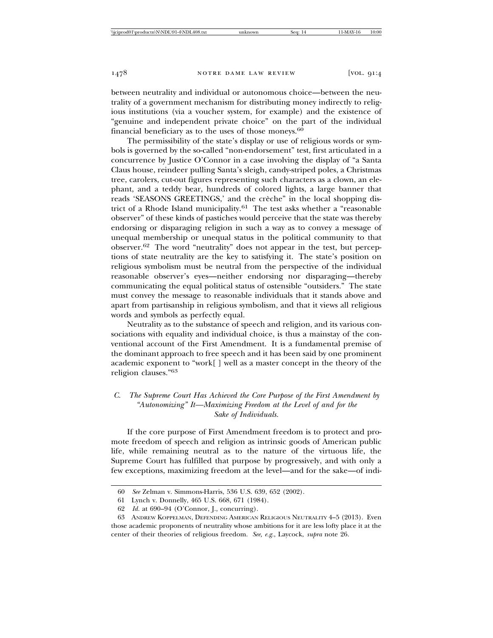between neutrality and individual or autonomous choice—between the neutrality of a government mechanism for distributing money indirectly to religious institutions (via a voucher system, for example) and the existence of "genuine and independent private choice" on the part of the individual financial beneficiary as to the uses of those moneys.<sup>60</sup>

The permissibility of the state's display or use of religious words or symbols is governed by the so-called "non-endorsement" test, first articulated in a concurrence by Justice O'Connor in a case involving the display of "a Santa Claus house, reindeer pulling Santa's sleigh, candy-striped poles, a Christmas tree, carolers, cut-out figures representing such characters as a clown, an elephant, and a teddy bear, hundreds of colored lights, a large banner that reads 'SEASONS GREETINGS,' and the crèche" in the local shopping district of a Rhode Island municipality.61 The test asks whether a "reasonable observer" of these kinds of pastiches would perceive that the state was thereby endorsing or disparaging religion in such a way as to convey a message of unequal membership or unequal status in the political community to that observer.62 The word "neutrality" does not appear in the test, but perceptions of state neutrality are the key to satisfying it. The state's position on religious symbolism must be neutral from the perspective of the individual reasonable observer's eyes—neither endorsing nor disparaging—thereby communicating the equal political status of ostensible "outsiders." The state must convey the message to reasonable individuals that it stands above and apart from partisanship in religious symbolism, and that it views all religious words and symbols as perfectly equal.

Neutrality as to the substance of speech and religion, and its various consociations with equality and individual choice, is thus a mainstay of the conventional account of the First Amendment. It is a fundamental premise of the dominant approach to free speech and it has been said by one prominent academic exponent to "work[ ] well as a master concept in the theory of the religion clauses."<sup>63</sup>

# *C. The Supreme Court Has Achieved the Core Purpose of the First Amendment by "Autonomizing" It—Maximizing Freedom at the Level of and for the Sake of Individuals.*

If the core purpose of First Amendment freedom is to protect and promote freedom of speech and religion as intrinsic goods of American public life, while remaining neutral as to the nature of the virtuous life, the Supreme Court has fulfilled that purpose by progressively, and with only a few exceptions, maximizing freedom at the level—and for the sake—of indi-

<sup>60</sup> *See* Zelman v. Simmons-Harris, 536 U.S. 639, 652 (2002).

<sup>61</sup> Lynch v. Donnelly, 465 U.S. 668, 671 (1984).

<sup>62</sup> *Id.* at 690–94 (O'Connor, J., concurring).

<sup>63</sup> ANDREW KOPPELMAN, DEFENDING AMERICAN RELIGIOUS NEUTRALITY 4–5 (2013). Even those academic proponents of neutrality whose ambitions for it are less lofty place it at the center of their theories of religious freedom. *See, e.g.*, Laycock, *supra* note 26.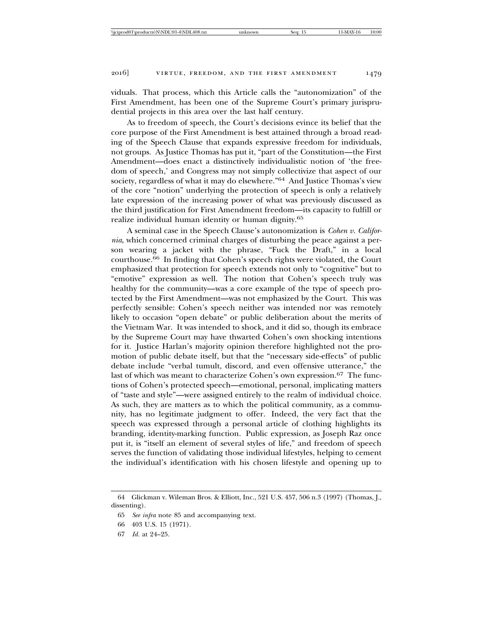viduals. That process, which this Article calls the "autonomization" of the First Amendment, has been one of the Supreme Court's primary jurisprudential projects in this area over the last half century.

As to freedom of speech, the Court's decisions evince its belief that the core purpose of the First Amendment is best attained through a broad reading of the Speech Clause that expands expressive freedom for individuals, not groups. As Justice Thomas has put it, "part of the Constitution—the First Amendment—does enact a distinctively individualistic notion of 'the freedom of speech,' and Congress may not simply collectivize that aspect of our society, regardless of what it may do elsewhere."64 And Justice Thomas's view of the core "notion" underlying the protection of speech is only a relatively late expression of the increasing power of what was previously discussed as the third justification for First Amendment freedom—its capacity to fulfill or realize individual human identity or human dignity.<sup>65</sup>

A seminal case in the Speech Clause's autonomization is *Cohen v. California*, which concerned criminal charges of disturbing the peace against a person wearing a jacket with the phrase, "Fuck the Draft," in a local courthouse.66 In finding that Cohen's speech rights were violated, the Court emphasized that protection for speech extends not only to "cognitive" but to "emotive" expression as well. The notion that Cohen's speech truly was healthy for the community—was a core example of the type of speech protected by the First Amendment—was not emphasized by the Court. This was perfectly sensible: Cohen's speech neither was intended nor was remotely likely to occasion "open debate" or public deliberation about the merits of the Vietnam War. It was intended to shock, and it did so, though its embrace by the Supreme Court may have thwarted Cohen's own shocking intentions for it. Justice Harlan's majority opinion therefore highlighted not the promotion of public debate itself, but that the "necessary side-effects" of public debate include "verbal tumult, discord, and even offensive utterance," the last of which was meant to characterize Cohen's own expression.<sup>67</sup> The functions of Cohen's protected speech—emotional, personal, implicating matters of "taste and style"—were assigned entirely to the realm of individual choice. As such, they are matters as to which the political community, as a community, has no legitimate judgment to offer. Indeed, the very fact that the speech was expressed through a personal article of clothing highlights its branding, identity-marking function. Public expression, as Joseph Raz once put it, is "itself an element of several styles of life," and freedom of speech serves the function of validating those individual lifestyles, helping to cement the individual's identification with his chosen lifestyle and opening up to

<sup>64</sup> Glickman v. Wileman Bros. & Elliott, Inc., 521 U.S. 457, 506 n.3 (1997) (Thomas, J., dissenting).

<sup>65</sup> *See infra* note 85 and accompanying text.

<sup>66 403</sup> U.S. 15 (1971).

<sup>67</sup> *Id.* at 24–25.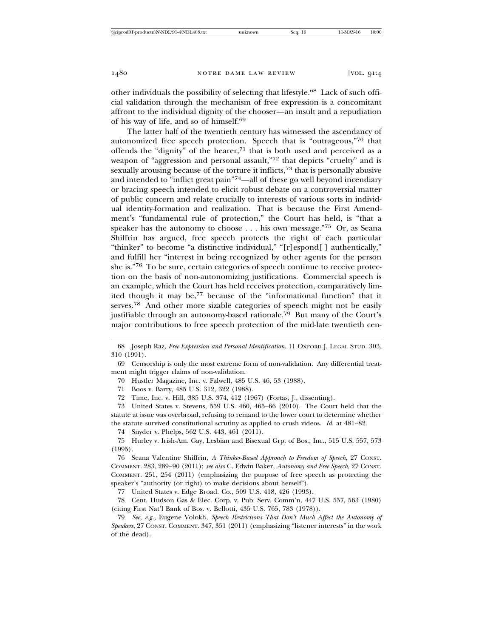other individuals the possibility of selecting that lifestyle.68 Lack of such official validation through the mechanism of free expression is a concomitant affront to the individual dignity of the chooser—an insult and a repudiation of his way of life, and so of himself.<sup>69</sup>

The latter half of the twentieth century has witnessed the ascendancy of autonomized free speech protection. Speech that is "outrageous,"70 that offends the "dignity" of the hearer,<sup>71</sup> that is both used and perceived as a weapon of "aggression and personal assault,"72 that depicts "cruelty" and is sexually arousing because of the torture it inflicts,73 that is personally abusive and intended to "inflict great pain"74—all of these go well beyond incendiary or bracing speech intended to elicit robust debate on a controversial matter of public concern and relate crucially to interests of various sorts in individual identity-formation and realization. That is because the First Amendment's "fundamental rule of protection," the Court has held, is "that a speaker has the autonomy to choose . . . his own message."75 Or, as Seana Shiffrin has argued, free speech protects the right of each particular "thinker" to become "a distinctive individual," "[r]espond[ ] authentically," and fulfill her "interest in being recognized by other agents for the person she is."76 To be sure, certain categories of speech continue to receive protection on the basis of non-autonomizing justifications. Commercial speech is an example, which the Court has held receives protection, comparatively limited though it may be,77 because of the "informational function" that it serves.78 And other more sizable categories of speech might not be easily justifiable through an autonomy-based rationale.79 But many of the Court's major contributions to free speech protection of the mid-late twentieth cen-

70 Hustler Magazine, Inc. v. Falwell, 485 U.S. 46, 53 (1988).

71 Boos v. Barry, 485 U.S. 312, 322 (1988).

72 Time, Inc. v. Hill, 385 U.S. 374, 412 (1967) (Fortas, J., dissenting).

73 United States v. Stevens, 559 U.S. 460, 465–66 (2010). The Court held that the statute at issue was overbroad, refusing to remand to the lower court to determine whether the statute survived constitutional scrutiny as applied to crush videos. *Id.* at 481–82.

74 Snyder v. Phelps, 562 U.S. 443, 461 (2011).

75 Hurley v. Irish-Am. Gay, Lesbian and Bisexual Grp. of Bos., Inc., 515 U.S. 557, 573 (1995).

76 Seana Valentine Shiffrin, *A Thinker-Based Approach to Freedom of Speech*, 27 CONST. COMMENT. 283, 289–90 (2011); *see also* C. Edwin Baker, *Autonomy and Free Speech*, 27 CONST. COMMENT. 251, 254 (2011) (emphasizing the purpose of free speech as protecting the speaker's "authority (or right) to make decisions about herself").

77 United States v. Edge Broad. Co., 509 U.S. 418, 426 (1993).

78 Cent. Hudson Gas & Elec. Corp. v. Pub. Serv. Comm'n, 447 U.S. 557, 563 (1980) (citing First Nat'l Bank of Bos. v. Bellotti, 435 U.S. 765, 783 (1978)).

79 *See, e.g.*, Eugene Volokh, *Speech Restrictions That Don't Much Affect the Autonomy of Speakers*, 27 CONST. COMMENT. 347, 351 (2011) (emphasizing "listener interests" in the work of the dead).

<sup>68</sup> Joseph Raz, *Free Expression and Personal Identification*, 11 OXFORD J. LEGAL STUD. 303, 310 (1991).

<sup>69</sup> Censorship is only the most extreme form of non-validation. Any differential treatment might trigger claims of non-validation.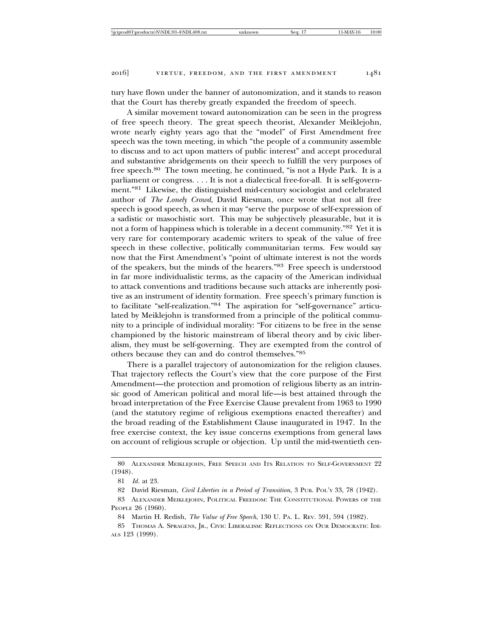tury have flown under the banner of autonomization, and it stands to reason that the Court has thereby greatly expanded the freedom of speech.

A similar movement toward autonomization can be seen in the progress of free speech theory. The great speech theorist, Alexander Meiklejohn, wrote nearly eighty years ago that the "model" of First Amendment free speech was the town meeting, in which "the people of a community assemble to discuss and to act upon matters of public interest" and accept procedural and substantive abridgements on their speech to fulfill the very purposes of free speech.80 The town meeting, he continued, "is not a Hyde Park. It is a parliament or congress. . . . It is not a dialectical free-for-all. It is self-government."81 Likewise, the distinguished mid-century sociologist and celebrated author of *The Lonely Crowd*, David Riesman, once wrote that not all free speech is good speech, as when it may "serve the purpose of self-expression of a sadistic or masochistic sort. This may be subjectively pleasurable, but it is not a form of happiness which is tolerable in a decent community."82 Yet it is very rare for contemporary academic writers to speak of the value of free speech in these collective, politically communitarian terms. Few would say now that the First Amendment's "point of ultimate interest is not the words of the speakers, but the minds of the hearers."83 Free speech is understood in far more individualistic terms, as the capacity of the American individual to attack conventions and traditions because such attacks are inherently positive as an instrument of identity formation. Free speech's primary function is to facilitate "self-realization."84 The aspiration for "self-governance" articulated by Meiklejohn is transformed from a principle of the political community to a principle of individual morality: "For citizens to be free in the sense championed by the historic mainstream of liberal theory and by civic liberalism, they must be self-governing. They are exempted from the control of others because they can and do control themselves."<sup>85</sup>

There is a parallel trajectory of autonomization for the religion clauses. That trajectory reflects the Court's view that the core purpose of the First Amendment—the protection and promotion of religious liberty as an intrinsic good of American political and moral life—is best attained through the broad interpretation of the Free Exercise Clause prevalent from 1963 to 1990 (and the statutory regime of religious exemptions enacted thereafter) and the broad reading of the Establishment Clause inaugurated in 1947. In the free exercise context, the key issue concerns exemptions from general laws on account of religious scruple or objection. Up until the mid-twentieth cen-

84 Martin H. Redish, *The Value of Free Speech*, 130 U. PA. L. REV. 591, 594 (1982).

<sup>80</sup> ALEXANDER MEIKLEJOHN, FREE SPEECH AND ITS RELATION TO SELF-GOVERNMENT 22 (1948).

<sup>81</sup> *Id.* at 23.

<sup>82</sup> David Riesman, *Civil Liberties in a Period of Transition*, 3 PUB. POL'Y 33, 78 (1942).

<sup>83</sup> ALEXANDER MEIKLEJOHN, POLITICAL FREEDOM: THE CONSTITUTIONAL POWERS OF THE PEOPLE 26 (1960).

<sup>85</sup> THOMAS A. SPRAGENS, JR., CIVIC LIBERALISM: REFLECTIONS ON OUR DEMOCRATIC IDE-ALS 123 (1999).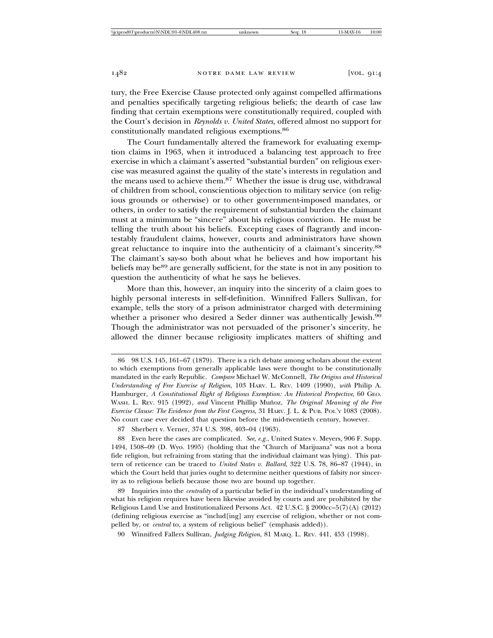tury, the Free Exercise Clause protected only against compelled affirmations and penalties specifically targeting religious beliefs; the dearth of case law finding that certain exemptions were constitutionally required, coupled with the Court's decision in *Reynolds v. United States*, offered almost no support for constitutionally mandated religious exemptions.<sup>86</sup>

The Court fundamentally altered the framework for evaluating exemption claims in 1963, when it introduced a balancing test approach to free exercise in which a claimant's asserted "substantial burden" on religious exercise was measured against the quality of the state's interests in regulation and the means used to achieve them.87 Whether the issue is drug use, withdrawal of children from school, conscientious objection to military service (on religious grounds or otherwise) or to other government-imposed mandates, or others, in order to satisfy the requirement of substantial burden the claimant must at a minimum be "sincere" about his religious conviction. He must be telling the truth about his beliefs. Excepting cases of flagrantly and incontestably fraudulent claims, however, courts and administrators have shown great reluctance to inquire into the authenticity of a claimant's sincerity.<sup>88</sup> The claimant's say-so both about what he believes and how important his beliefs may be<sup>89</sup> are generally sufficient, for the state is not in any position to question the authenticity of what he says he believes.

More than this, however, an inquiry into the sincerity of a claim goes to highly personal interests in self-definition. Winnifred Fallers Sullivan, for example, tells the story of a prison administrator charged with determining whether a prisoner who desired a Seder dinner was authentically Jewish.<sup>90</sup> Though the administrator was not persuaded of the prisoner's sincerity, he allowed the dinner because religiosity implicates matters of shifting and

87 Sherbert v. Verner, 374 U.S. 398, 403–04 (1963).

88 Even here the cases are complicated. *See, e.g.*, United States v. Meyers, 906 F. Supp. 1494, 1508–09 (D. Wyo. 1995) (holding that the "Church of Marijuana" was not a bona fide religion, but refraining from stating that the individual claimant was lying). This pattern of reticence can be traced to *United States v. Ballard*, 322 U.S. 78, 86–87 (1944), in which the Court held that juries ought to determine neither questions of falsity nor sincerity as to religious beliefs because those two are bound up together.

89 Inquiries into the *centrality* of a particular belief in the individual's understanding of what his religion requires have been likewise avoided by courts and are prohibited by the Religious Land Use and Institutionalized Persons Act. 42 U.S.C. § 2000cc–5(7)(A) (2012) (defining religious exercise as "includ[ing] any exercise of religion, whether or not compelled by, or *central* to, a system of religious belief" (emphasis added)).

90 Winnifred Fallers Sullivan, *Judging Religion*, 81 MARQ. L. REV. 441, 453 (1998).

<sup>86 98</sup> U.S. 145, 161–67 (1879). There is a rich debate among scholars about the extent to which exemptions from generally applicable laws were thought to be constitutionally mandated in the early Republic. *Compare* Michael W. McConnell, *The Origins and Historical Understanding of Free Exercise of Religion*, 103 HARV. L. REV. 1409 (1990), *with* Philip A. Hamburger, *A Constitutional Right of Religious Exemption: An Historical Perspective*, 60 GEO. WASH. L. REV. 915 (1992), and Vincent Phillip Muñoz, The Original Meaning of the Free *Exercise Clause: The Evidence from the First Congress*, 31 HARV. J. L. & PUB. POL'Y 1083 (2008). No court case ever decided that question before the mid-twentieth century, however.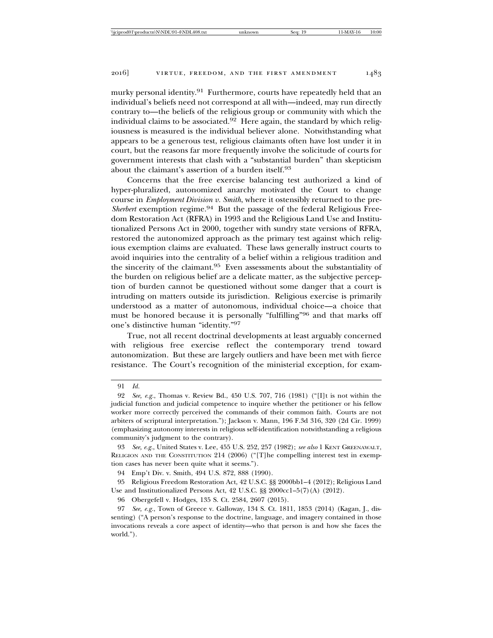murky personal identity.<sup>91</sup> Furthermore, courts have repeatedly held that an individual's beliefs need not correspond at all with—indeed, may run directly contrary to—the beliefs of the religious group or community with which the individual claims to be associated.<sup>92</sup> Here again, the standard by which religiousness is measured is the individual believer alone. Notwithstanding what appears to be a generous test, religious claimants often have lost under it in court, but the reasons far more frequently involve the solicitude of courts for government interests that clash with a "substantial burden" than skepticism about the claimant's assertion of a burden itself.<sup>93</sup>

Concerns that the free exercise balancing test authorized a kind of hyper-pluralized, autonomized anarchy motivated the Court to change course in *Employment Division v. Smith*, where it ostensibly returned to the pre-*Sherbert* exemption regime.94 But the passage of the federal Religious Freedom Restoration Act (RFRA) in 1993 and the Religious Land Use and Institutionalized Persons Act in 2000, together with sundry state versions of RFRA, restored the autonomized approach as the primary test against which religious exemption claims are evaluated. These laws generally instruct courts to avoid inquiries into the centrality of a belief within a religious tradition and the sincerity of the claimant.95 Even assessments about the substantiality of the burden on religious belief are a delicate matter, as the subjective perception of burden cannot be questioned without some danger that a court is intruding on matters outside its jurisdiction. Religious exercise is primarily understood as a matter of autonomous, individual choice—a choice that must be honored because it is personally "fulfilling"96 and that marks off one's distinctive human "identity."<sup>97</sup>

True, not all recent doctrinal developments at least arguably concerned with religious free exercise reflect the contemporary trend toward autonomization. But these are largely outliers and have been met with fierce resistance. The Court's recognition of the ministerial exception, for exam-

94 Emp't Div. v. Smith, 494 U.S. 872, 888 (1990).

95 Religious Freedom Restoration Act, 42 U.S.C. §§ 2000bb1–4 (2012); Religious Land Use and Institutionalized Persons Act, 42 U.S.C. §§ 2000cc1–5(7)(A) (2012).

96 Obergefell v. Hodges, 135 S. Ct. 2584, 2607 (2015).

97 *See, e.g.*, Town of Greece v. Galloway, 134 S. Ct. 1811, 1853 (2014) (Kagan, J., dissenting) ("A person's response to the doctrine, language, and imagery contained in those invocations reveals a core aspect of identity—who that person is and how she faces the world.").

<sup>91</sup> *Id.*

<sup>92</sup> *See, e.g.*, Thomas v. Review Bd., 450 U.S. 707, 716 (1981) ("[I]t is not within the judicial function and judicial competence to inquire whether the petitioner or his fellow worker more correctly perceived the commands of their common faith. Courts are not arbiters of scriptural interpretation."); Jackson v. Mann, 196 F.3d 316, 320 (2d Cir. 1999) (emphasizing autonomy interests in religious self-identification notwithstanding a religious community's judgment to the contrary).

<sup>93</sup> *See, e.g.*, United States v. Lee, 455 U.S. 252, 257 (1982); *see also* 1 KENT GREENAWALT, RELIGION AND THE CONSTITUTION 214 (2006) ("[T]he compelling interest test in exemption cases has never been quite what it seems.").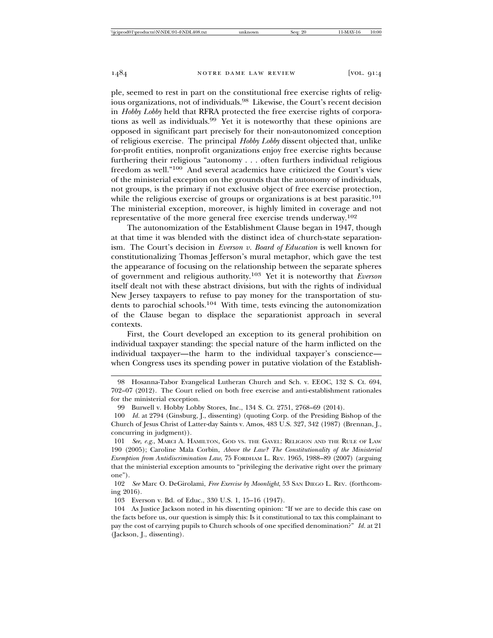ple, seemed to rest in part on the constitutional free exercise rights of religious organizations, not of individuals.98 Likewise, the Court's recent decision in *Hobby Lobby* held that RFRA protected the free exercise rights of corporations as well as individuals.99 Yet it is noteworthy that these opinions are opposed in significant part precisely for their non-autonomized conception of religious exercise. The principal *Hobby Lobby* dissent objected that, unlike for-profit entities, nonprofit organizations enjoy free exercise rights because furthering their religious "autonomy . . . often furthers individual religious freedom as well."100 And several academics have criticized the Court's view of the ministerial exception on the grounds that the autonomy of individuals, not groups, is the primary if not exclusive object of free exercise protection, while the religious exercise of groups or organizations is at best parasitic.<sup>101</sup> The ministerial exception, moreover, is highly limited in coverage and not representative of the more general free exercise trends underway.<sup>102</sup>

The autonomization of the Establishment Clause began in 1947, though at that time it was blended with the distinct idea of church-state separationism. The Court's decision in *Everson v. Board of Education* is well known for constitutionalizing Thomas Jefferson's mural metaphor, which gave the test the appearance of focusing on the relationship between the separate spheres of government and religious authority.103 Yet it is noteworthy that *Everson* itself dealt not with these abstract divisions, but with the rights of individual New Jersey taxpayers to refuse to pay money for the transportation of students to parochial schools.104 With time, tests evincing the autonomization of the Clause began to displace the separationist approach in several contexts.

First, the Court developed an exception to its general prohibition on individual taxpayer standing: the special nature of the harm inflicted on the individual taxpayer—the harm to the individual taxpayer's conscience when Congress uses its spending power in putative violation of the Establish-

<sup>98</sup> Hosanna-Tabor Evangelical Lutheran Church and Sch. v. EEOC, 132 S. Ct. 694, 702–07 (2012). The Court relied on both free exercise and anti-establishment rationales for the ministerial exception.

<sup>99</sup> Burwell v. Hobby Lobby Stores, Inc., 134 S. Ct. 2751, 2768–69 (2014).

<sup>100</sup> *Id.* at 2794 (Ginsburg, J., dissenting) (quoting Corp. of the Presiding Bishop of the Church of Jesus Christ of Latter-day Saints v. Amos, 483 U.S. 327, 342 (1987) (Brennan, J., concurring in judgment)).

<sup>101</sup> *See, e.g.*, MARCI A. HAMILTON, GOD VS. THE GAVEL: RELIGION AND THE RULE OF LAW 190 (2005); Caroline Mala Corbin, *Above the Law? The Constitutionality of the Ministerial Exemption from Antidiscrimination Law*, 75 FORDHAM L. REV. 1965, 1988–89 (2007) (arguing that the ministerial exception amounts to "privileging the derivative right over the primary one").

<sup>102</sup> *See* Marc O. DeGirolami, *Free Exercise by Moonlight*, 53 SAN DIEGO L. REV. (forthcoming 2016).

<sup>103</sup> Everson v. Bd. of Educ., 330 U.S. 1, 15–16 (1947).

<sup>104</sup> As Justice Jackson noted in his dissenting opinion: "If we are to decide this case on the facts before us, our question is simply this: Is it constitutional to tax this complainant to pay the cost of carrying pupils to Church schools of one specified denomination?" *Id.* at 21 (Jackson, J., dissenting).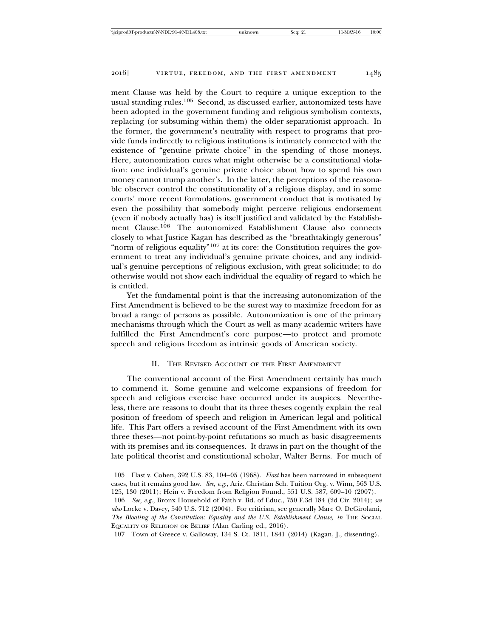ment Clause was held by the Court to require a unique exception to the usual standing rules.105 Second, as discussed earlier, autonomized tests have been adopted in the government funding and religious symbolism contexts, replacing (or subsuming within them) the older separationist approach. In the former, the government's neutrality with respect to programs that provide funds indirectly to religious institutions is intimately connected with the existence of "genuine private choice" in the spending of those moneys. Here, autonomization cures what might otherwise be a constitutional violation: one individual's genuine private choice about how to spend his own money cannot trump another's. In the latter, the perceptions of the reasonable observer control the constitutionality of a religious display, and in some courts' more recent formulations, government conduct that is motivated by even the possibility that somebody might perceive religious endorsement (even if nobody actually has) is itself justified and validated by the Establishment Clause.106 The autonomized Establishment Clause also connects closely to what Justice Kagan has described as the "breathtakingly generous" "norm of religious equality"<sup>107</sup> at its core: the Constitution requires the gov-

ernment to treat any individual's genuine private choices, and any individual's genuine perceptions of religious exclusion, with great solicitude; to do otherwise would not show each individual the equality of regard to which he is entitled.

Yet the fundamental point is that the increasing autonomization of the First Amendment is believed to be the surest way to maximize freedom for as broad a range of persons as possible. Autonomization is one of the primary mechanisms through which the Court as well as many academic writers have fulfilled the First Amendment's core purpose—to protect and promote speech and religious freedom as intrinsic goods of American society.

#### II. THE REVISED ACCOUNT OF THE FIRST AMENDMENT

The conventional account of the First Amendment certainly has much to commend it. Some genuine and welcome expansions of freedom for speech and religious exercise have occurred under its auspices. Nevertheless, there are reasons to doubt that its three theses cogently explain the real position of freedom of speech and religion in American legal and political life. This Part offers a revised account of the First Amendment with its own three theses—not point-by-point refutations so much as basic disagreements with its premises and its consequences. It draws in part on the thought of the late political theorist and constitutional scholar, Walter Berns. For much of

<sup>105</sup> Flast v. Cohen, 392 U.S. 83, 104–05 (1968). *Flast* has been narrowed in subsequent cases, but it remains good law. *See, e.g.*, Ariz. Christian Sch. Tuition Org. v. Winn, 563 U.S. 125, 130 (2011); Hein v. Freedom from Religion Found., 551 U.S. 587, 609–10 (2007).

<sup>106</sup> *See, e.g.*, Bronx Household of Faith v. Bd. of Educ., 750 F.3d 184 (2d Cir. 2014); *see also* Locke v. Davey, 540 U.S. 712 (2004). For criticism, see generally Marc O. DeGirolami, *The Bloating of the Constitution: Equality and the U.S. Establishment Clause*, *in* THE SOCIAL EQUALITY OF RELIGION OR BELIEF (Alan Carling ed., 2016).

<sup>107</sup> Town of Greece v. Galloway, 134 S. Ct. 1811, 1841 (2014) (Kagan, J., dissenting).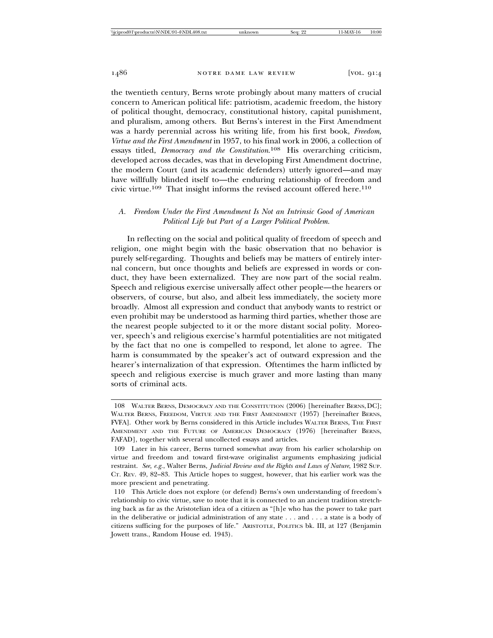the twentieth century, Berns wrote probingly about many matters of crucial concern to American political life: patriotism, academic freedom, the history of political thought, democracy, constitutional history, capital punishment, and pluralism, among others. But Berns's interest in the First Amendment was a hardy perennial across his writing life, from his first book, *Freedom, Virtue and the First Amendment* in 1957, to his final work in 2006, a collection of essays titled, *Democracy and the Constitution*. 108 His overarching criticism, developed across decades, was that in developing First Amendment doctrine, the modern Court (and its academic defenders) utterly ignored—and may have willfully blinded itself to—the enduring relationship of freedom and civic virtue.<sup>109</sup> That insight informs the revised account offered here.<sup>110</sup>

# *A. Freedom Under the First Amendment Is Not an Intrinsic Good of American Political Life but Part of a Larger Political Problem.*

In reflecting on the social and political quality of freedom of speech and religion, one might begin with the basic observation that no behavior is purely self-regarding. Thoughts and beliefs may be matters of entirely internal concern, but once thoughts and beliefs are expressed in words or conduct, they have been externalized. They are now part of the social realm. Speech and religious exercise universally affect other people—the hearers or observers, of course, but also, and albeit less immediately, the society more broadly. Almost all expression and conduct that anybody wants to restrict or even prohibit may be understood as harming third parties, whether those are the nearest people subjected to it or the more distant social polity. Moreover, speech's and religious exercise's harmful potentialities are not mitigated by the fact that no one is compelled to respond, let alone to agree. The harm is consummated by the speaker's act of outward expression and the hearer's internalization of that expression. Oftentimes the harm inflicted by speech and religious exercise is much graver and more lasting than many sorts of criminal acts.

<sup>108</sup> WALTER BERNS, DEMOCRACY AND THE CONSTITUTION (2006) [hereinafter BERNS, DC]; WALTER BERNS, FREEDOM, VIRTUE AND THE FIRST AMENDMENT (1957) [hereinafter BERNS, FVFA]. Other work by Berns considered in this Article includes WALTER BERNS, THE FIRST AMENDMENT AND THE FUTURE OF AMERICAN DEMOCRACY (1976) [hereinafter BERNS, FAFAD], together with several uncollected essays and articles.

<sup>109</sup> Later in his career, Berns turned somewhat away from his earlier scholarship on virtue and freedom and toward first-wave originalist arguments emphasizing judicial restraint. *See, e.g.*, Walter Berns, *Judicial Review and the Rights and Laws of Nature*, 1982 SUP. CT. REV. 49, 82–83. This Article hopes to suggest, however, that his earlier work was the more prescient and penetrating.

<sup>110</sup> This Article does not explore (or defend) Berns's own understanding of freedom's relationship to civic virtue, save to note that it is connected to an ancient tradition stretching back as far as the Aristotelian idea of a citizen as "[h]e who has the power to take part in the deliberative or judicial administration of any state . . . and . . . a state is a body of citizens sufficing for the purposes of life." ARISTOTLE, POLITICS bk. III, at 127 (Benjamin Jowett trans., Random House ed. 1943).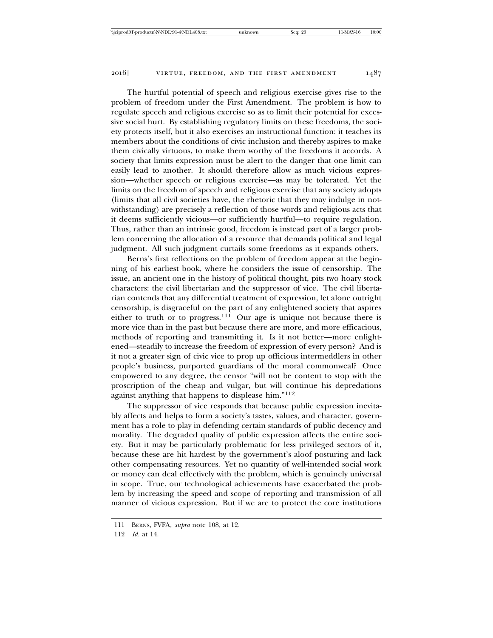The hurtful potential of speech and religious exercise gives rise to the problem of freedom under the First Amendment. The problem is how to regulate speech and religious exercise so as to limit their potential for excessive social hurt. By establishing regulatory limits on these freedoms, the society protects itself, but it also exercises an instructional function: it teaches its members about the conditions of civic inclusion and thereby aspires to make them civically virtuous, to make them worthy of the freedoms it accords. A society that limits expression must be alert to the danger that one limit can easily lead to another. It should therefore allow as much vicious expression—whether speech or religious exercise—as may be tolerated. Yet the limits on the freedom of speech and religious exercise that any society adopts (limits that all civil societies have, the rhetoric that they may indulge in notwithstanding) are precisely a reflection of those words and religious acts that it deems sufficiently vicious—or sufficiently hurtful—to require regulation. Thus, rather than an intrinsic good, freedom is instead part of a larger problem concerning the allocation of a resource that demands political and legal judgment. All such judgment curtails some freedoms as it expands others.

Berns's first reflections on the problem of freedom appear at the beginning of his earliest book, where he considers the issue of censorship. The issue, an ancient one in the history of political thought, pits two hoary stock characters: the civil libertarian and the suppressor of vice. The civil libertarian contends that any differential treatment of expression, let alone outright censorship, is disgraceful on the part of any enlightened society that aspires either to truth or to progress.<sup>111</sup> Our age is unique not because there is more vice than in the past but because there are more, and more efficacious, methods of reporting and transmitting it. Is it not better—more enlightened—steadily to increase the freedom of expression of every person? And is it not a greater sign of civic vice to prop up officious intermeddlers in other people's business, purported guardians of the moral commonweal? Once empowered to any degree, the censor "will not be content to stop with the proscription of the cheap and vulgar, but will continue his depredations against anything that happens to displease him."<sup>112</sup>

The suppressor of vice responds that because public expression inevitably affects and helps to form a society's tastes, values, and character, government has a role to play in defending certain standards of public decency and morality. The degraded quality of public expression affects the entire society. But it may be particularly problematic for less privileged sectors of it, because these are hit hardest by the government's aloof posturing and lack other compensating resources. Yet no quantity of well-intended social work or money can deal effectively with the problem, which is genuinely universal in scope. True, our technological achievements have exacerbated the problem by increasing the speed and scope of reporting and transmission of all manner of vicious expression. But if we are to protect the core institutions

<sup>111</sup> BERNS, FVFA, *supra* note 108, at 12.

<sup>112</sup> *Id.* at 14.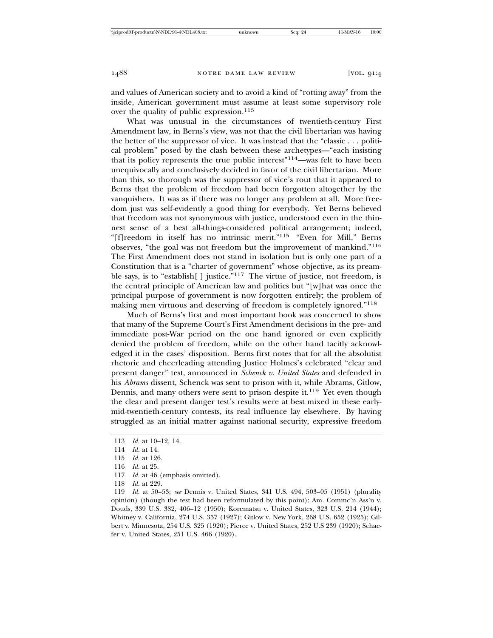and values of American society and to avoid a kind of "rotting away" from the inside, American government must assume at least some supervisory role over the quality of public expression.<sup>113</sup>

What was unusual in the circumstances of twentieth-century First Amendment law, in Berns's view, was not that the civil libertarian was having the better of the suppressor of vice. It was instead that the "classic . . . political problem" posed by the clash between these archetypes—"each insisting that its policy represents the true public interest"114—was felt to have been unequivocally and conclusively decided in favor of the civil libertarian. More than this, so thorough was the suppressor of vice's rout that it appeared to Berns that the problem of freedom had been forgotten altogether by the vanquishers. It was as if there was no longer any problem at all. More freedom just was self-evidently a good thing for everybody. Yet Berns believed that freedom was not synonymous with justice, understood even in the thinnest sense of a best all-things-considered political arrangement; indeed, "[f]reedom in itself has no intrinsic merit."115 "Even for Mill," Berns observes, "the goal was not freedom but the improvement of mankind."<sup>116</sup> The First Amendment does not stand in isolation but is only one part of a Constitution that is a "charter of government" whose objective, as its preamble says, is to "establish[] justice."<sup>117</sup> The virtue of justice, not freedom, is the central principle of American law and politics but "[w]hat was once the principal purpose of government is now forgotten entirely; the problem of making men virtuous and deserving of freedom is completely ignored."<sup>118</sup>

Much of Berns's first and most important book was concerned to show that many of the Supreme Court's First Amendment decisions in the pre- and immediate post-War period on the one hand ignored or even explicitly denied the problem of freedom, while on the other hand tacitly acknowledged it in the cases' disposition. Berns first notes that for all the absolutist rhetoric and cheerleading attending Justice Holmes's celebrated "clear and present danger" test, announced in *Schenck v. United States* and defended in his *Abrams* dissent, Schenck was sent to prison with it, while Abrams, Gitlow, Dennis, and many others were sent to prison despite it.<sup>119</sup> Yet even though the clear and present danger test's results were at best mixed in these earlymid-twentieth-century contests, its real influence lay elsewhere. By having struggled as an initial matter against national security, expressive freedom

116 *Id.* at 25.

118 *Id.* at 229.

119 *Id.* at 50–53; *see* Dennis v. United States, 341 U.S. 494, 503–05 (1951) (plurality opinion) (though the test had been reformulated by this point); Am. Commc'n Ass'n v. Douds, 339 U.S. 382, 406–12 (1950); Korematsu v. United States, 323 U.S. 214 (1944); Whitney v. California, 274 U.S. 357 (1927); Gitlow v. New York, 268 U.S. 652 (1925); Gilbert v. Minnesota, 254 U.S. 325 (1920); Pierce v. United States, 252 U.S 239 (1920); Schaefer v. United States, 251 U.S. 466 (1920).

<sup>113</sup> *Id.* at 10–12, 14.

<sup>114</sup> *Id.* at 14.

<sup>115</sup> *Id.* at 126.

<sup>117</sup> *Id.* at 46 (emphasis omitted).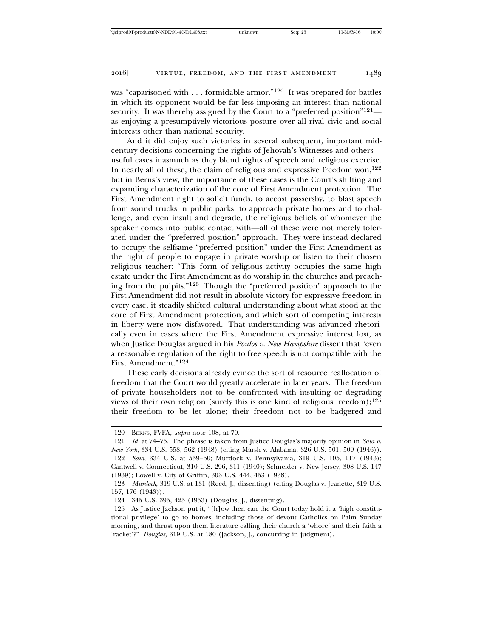was "caparisoned with . . . formidable armor."120 It was prepared for battles in which its opponent would be far less imposing an interest than national security. It was thereby assigned by the Court to a "preferred position"<sup>121</sup> as enjoying a presumptively victorious posture over all rival civic and social interests other than national security.

And it did enjoy such victories in several subsequent, important midcentury decisions concerning the rights of Jehovah's Witnesses and others useful cases inasmuch as they blend rights of speech and religious exercise. In nearly all of these, the claim of religious and expressive freedom won, $122$ but in Berns's view, the importance of these cases is the Court's shifting and expanding characterization of the core of First Amendment protection. The First Amendment right to solicit funds, to accost passersby, to blast speech from sound trucks in public parks, to approach private homes and to challenge, and even insult and degrade, the religious beliefs of whomever the speaker comes into public contact with—all of these were not merely tolerated under the "preferred position" approach. They were instead declared to occupy the selfsame "preferred position" under the First Amendment as the right of people to engage in private worship or listen to their chosen religious teacher: "This form of religious activity occupies the same high estate under the First Amendment as do worship in the churches and preaching from the pulpits."123 Though the "preferred position" approach to the First Amendment did not result in absolute victory for expressive freedom in every case, it steadily shifted cultural understanding about what stood at the core of First Amendment protection, and which sort of competing interests in liberty were now disfavored. That understanding was advanced rhetorically even in cases where the First Amendment expressive interest lost, as when Justice Douglas argued in his *Poulos v. New Hampshire* dissent that "even a reasonable regulation of the right to free speech is not compatible with the First Amendment."<sup>124</sup>

These early decisions already evince the sort of resource reallocation of freedom that the Court would greatly accelerate in later years. The freedom of private householders not to be confronted with insulting or degrading views of their own religion (surely this is one kind of religious freedom);<sup>125</sup> their freedom to be let alone; their freedom not to be badgered and

<sup>120</sup> BERNS, FVFA, *supra* note 108, at 70.

<sup>121</sup> *Id.* at 74–75. The phrase is taken from Justice Douglas's majority opinion in *Saia v. New York*, 334 U.S. 558, 562 (1948) (citing Marsh v. Alabama, 326 U.S. 501, 509 (1946)). 122 *Saia*, 334 U.S. at 559–60; Murdock v. Pennsylvania, 319 U.S. 105, 117 (1943); Cantwell v. Connecticut, 310 U.S. 296, 311 (1940); Schneider v. New Jersey, 308 U.S. 147 (1939); Lowell v. City of Griffin, 303 U.S. 444, 453 (1938).

<sup>123</sup> *Murdock*, 319 U.S. at 131 (Reed, J., dissenting) (citing Douglas v. Jeanette, 319 U.S. 157, 176 (1943)).

<sup>124 345</sup> U.S. 395, 425 (1953) (Douglas, J., dissenting).

<sup>125</sup> As Justice Jackson put it, "[h]ow then can the Court today hold it a 'high constitutional privilege' to go to homes, including those of devout Catholics on Palm Sunday morning, and thrust upon them literature calling their church a 'whore' and their faith a 'racket'?" *Douglas*, 319 U.S. at 180 (Jackson, J., concurring in judgment).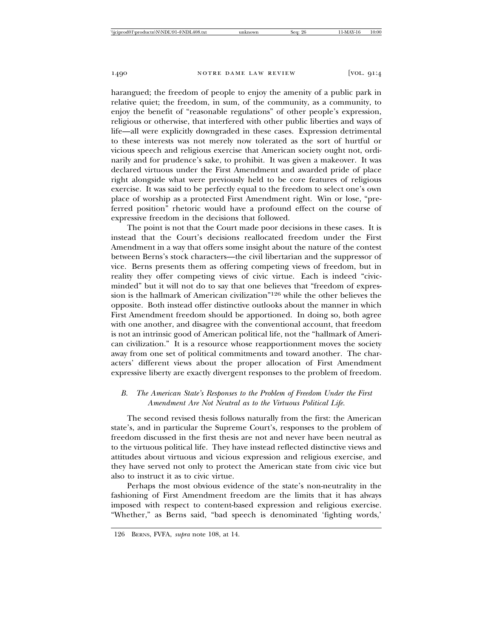harangued; the freedom of people to enjoy the amenity of a public park in relative quiet; the freedom, in sum, of the community, as a community, to enjoy the benefit of "reasonable regulations" of other people's expression, religious or otherwise, that interfered with other public liberties and ways of life—all were explicitly downgraded in these cases. Expression detrimental to these interests was not merely now tolerated as the sort of hurtful or vicious speech and religious exercise that American society ought not, ordinarily and for prudence's sake, to prohibit. It was given a makeover. It was declared virtuous under the First Amendment and awarded pride of place right alongside what were previously held to be core features of religious exercise. It was said to be perfectly equal to the freedom to select one's own place of worship as a protected First Amendment right. Win or lose, "preferred position" rhetoric would have a profound effect on the course of expressive freedom in the decisions that followed.

The point is not that the Court made poor decisions in these cases. It is instead that the Court's decisions reallocated freedom under the First Amendment in a way that offers some insight about the nature of the contest between Berns's stock characters—the civil libertarian and the suppressor of vice. Berns presents them as offering competing views of freedom, but in reality they offer competing views of civic virtue. Each is indeed "civicminded" but it will not do to say that one believes that "freedom of expression is the hallmark of American civilization"126 while the other believes the opposite. Both instead offer distinctive outlooks about the manner in which First Amendment freedom should be apportioned. In doing so, both agree with one another, and disagree with the conventional account, that freedom is not an intrinsic good of American political life, not the "hallmark of American civilization." It is a resource whose reapportionment moves the society away from one set of political commitments and toward another. The characters' different views about the proper allocation of First Amendment expressive liberty are exactly divergent responses to the problem of freedom.

## *B. The American State's Responses to the Problem of Freedom Under the First Amendment Are Not Neutral as to the Virtuous Political Life.*

The second revised thesis follows naturally from the first: the American state's, and in particular the Supreme Court's, responses to the problem of freedom discussed in the first thesis are not and never have been neutral as to the virtuous political life. They have instead reflected distinctive views and attitudes about virtuous and vicious expression and religious exercise, and they have served not only to protect the American state from civic vice but also to instruct it as to civic virtue.

Perhaps the most obvious evidence of the state's non-neutrality in the fashioning of First Amendment freedom are the limits that it has always imposed with respect to content-based expression and religious exercise. "Whether," as Berns said, "bad speech is denominated 'fighting words,'

<sup>126</sup> BERNS, FVFA, *supra* note 108, at 14.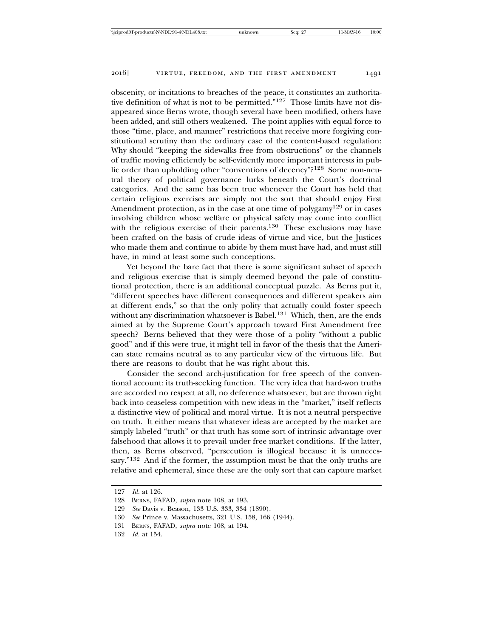obscenity, or incitations to breaches of the peace, it constitutes an authoritative definition of what is not to be permitted."127 Those limits have not disappeared since Berns wrote, though several have been modified, others have been added, and still others weakened. The point applies with equal force to those "time, place, and manner" restrictions that receive more forgiving constitutional scrutiny than the ordinary case of the content-based regulation: Why should "keeping the sidewalks free from obstructions" or the channels of traffic moving efficiently be self-evidently more important interests in public order than upholding other "conventions of decency"?128 Some non-neutral theory of political governance lurks beneath the Court's doctrinal categories. And the same has been true whenever the Court has held that certain religious exercises are simply not the sort that should enjoy First Amendment protection, as in the case at one time of polygamy<sup>129</sup> or in cases involving children whose welfare or physical safety may come into conflict with the religious exercise of their parents.<sup>130</sup> These exclusions may have been crafted on the basis of crude ideas of virtue and vice, but the Justices who made them and continue to abide by them must have had, and must still have, in mind at least some such conceptions.

Yet beyond the bare fact that there is some significant subset of speech and religious exercise that is simply deemed beyond the pale of constitutional protection, there is an additional conceptual puzzle. As Berns put it, "different speeches have different consequences and different speakers aim at different ends," so that the only polity that actually could foster speech without any discrimination whatsoever is Babel.<sup>131</sup> Which, then, are the ends aimed at by the Supreme Court's approach toward First Amendment free speech? Berns believed that they were those of a polity "without a public good" and if this were true, it might tell in favor of the thesis that the American state remains neutral as to any particular view of the virtuous life. But there are reasons to doubt that he was right about this.

Consider the second arch-justification for free speech of the conventional account: its truth-seeking function. The very idea that hard-won truths are accorded no respect at all, no deference whatsoever, but are thrown right back into ceaseless competition with new ideas in the "market," itself reflects a distinctive view of political and moral virtue. It is not a neutral perspective on truth. It either means that whatever ideas are accepted by the market are simply labeled "truth" or that truth has some sort of intrinsic advantage over falsehood that allows it to prevail under free market conditions. If the latter, then, as Berns observed, "persecution is illogical because it is unnecessary."<sup>132</sup> And if the former, the assumption must be that the only truths are relative and ephemeral, since these are the only sort that can capture market

<sup>127</sup> *Id.* at 126.

<sup>128</sup> BERNS, FAFAD, *supra* note 108, at 193.

<sup>129</sup> *See* Davis v. Beason, 133 U.S. 333, 334 (1890).

<sup>130</sup> *See* Prince v. Massachusetts, 321 U.S. 158, 166 (1944).

<sup>131</sup> BERNS, FAFAD, *supra* note 108, at 194.

<sup>132</sup> *Id.* at 154.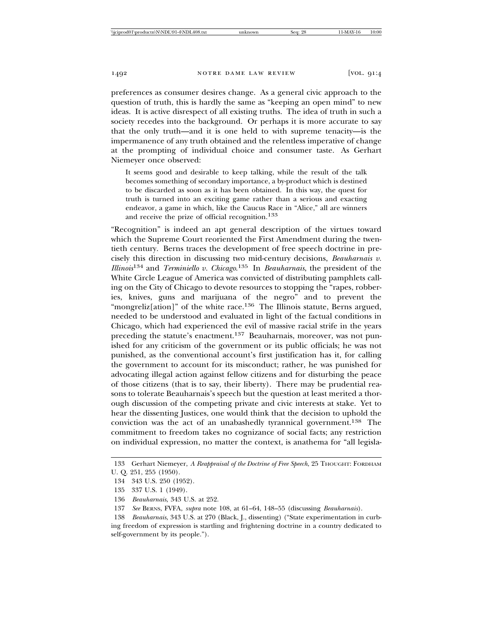preferences as consumer desires change. As a general civic approach to the question of truth, this is hardly the same as "keeping an open mind" to new ideas. It is active disrespect of all existing truths. The idea of truth in such a society recedes into the background. Or perhaps it is more accurate to say that the only truth—and it is one held to with supreme tenacity—is the impermanence of any truth obtained and the relentless imperative of change at the prompting of individual choice and consumer taste. As Gerhart Niemeyer once observed:

It seems good and desirable to keep talking, while the result of the talk becomes something of secondary importance, a by-product which is destined to be discarded as soon as it has been obtained. In this way, the quest for truth is turned into an exciting game rather than a serious and exacting endeavor, a game in which, like the Caucus Race in "Alice," all are winners and receive the prize of official recognition.<sup>133</sup>

"Recognition" is indeed an apt general description of the virtues toward which the Supreme Court reoriented the First Amendment during the twentieth century. Berns traces the development of free speech doctrine in precisely this direction in discussing two mid-century decisions, *Beauharnais v. Illinois*134 and *Terminiello v. Chicago*. 135 In *Beauharnais*, the president of the White Circle League of America was convicted of distributing pamphlets calling on the City of Chicago to devote resources to stopping the "rapes, robberies, knives, guns and marijuana of the negro" and to prevent the "mongreliz[ation]" of the white race.<sup>136</sup> The Illinois statute, Berns argued, needed to be understood and evaluated in light of the factual conditions in Chicago, which had experienced the evil of massive racial strife in the years preceding the statute's enactment.137 Beauharnais, moreover, was not punished for any criticism of the government or its public officials; he was not punished, as the conventional account's first justification has it, for calling the government to account for its misconduct; rather, he was punished for advocating illegal action against fellow citizens and for disturbing the peace of those citizens (that is to say, their liberty). There may be prudential reasons to tolerate Beauharnais's speech but the question at least merited a thorough discussion of the competing private and civic interests at stake. Yet to hear the dissenting Justices, one would think that the decision to uphold the conviction was the act of an unabashedly tyrannical government.138 The commitment to freedom takes no cognizance of social facts; any restriction on individual expression, no matter the context, is anathema for "all legisla-

138 *Beauharnais*, 343 U.S. at 270 (Black, J., dissenting) ("State experimentation in curbing freedom of expression is startling and frightening doctrine in a country dedicated to self-government by its people.").

<sup>133</sup> Gerhart Niemeyer, *A Reappraisal of the Doctrine of Free Speech*, 25 THOUGHT: FORDHAM U. Q. 251, 255 (1950).

<sup>134 343</sup> U.S. 250 (1952).

<sup>135 337</sup> U.S. 1 (1949).

<sup>136</sup> *Beauharnais*, 343 U.S. at 252.

<sup>137</sup> *See* BERNS, FVFA, *supra* note 108, at 61–64, 148–55 (discussing *Beauharnais*).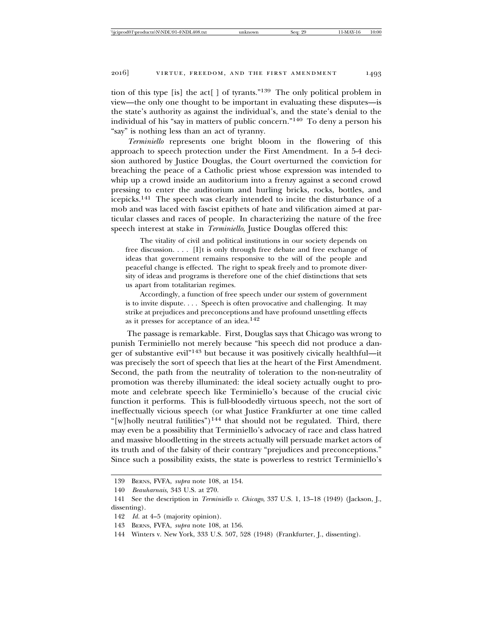tion of this type [is] the act  $\lceil \cdot \rceil$  of tyrants.<sup>"139</sup> The only political problem in view—the only one thought to be important in evaluating these disputes—is the state's authority as against the individual's, and the state's denial to the individual of his "say in matters of public concern."140 To deny a person his "say" is nothing less than an act of tyranny.

*Terminiello* represents one bright bloom in the flowering of this approach to speech protection under the First Amendment. In a 5-4 decision authored by Justice Douglas, the Court overturned the conviction for breaching the peace of a Catholic priest whose expression was intended to whip up a crowd inside an auditorium into a frenzy against a second crowd pressing to enter the auditorium and hurling bricks, rocks, bottles, and icepicks.141 The speech was clearly intended to incite the disturbance of a mob and was laced with fascist epithets of hate and vilification aimed at particular classes and races of people. In characterizing the nature of the free speech interest at stake in *Terminiello*, Justice Douglas offered this:

The vitality of civil and political institutions in our society depends on free discussion. . . . [I]t is only through free debate and free exchange of ideas that government remains responsive to the will of the people and peaceful change is effected. The right to speak freely and to promote diversity of ideas and programs is therefore one of the chief distinctions that sets us apart from totalitarian regimes.

Accordingly, a function of free speech under our system of government is to invite dispute. . . . Speech is often provocative and challenging. It may strike at prejudices and preconceptions and have profound unsettling effects as it presses for acceptance of an idea.142

The passage is remarkable. First, Douglas says that Chicago was wrong to punish Terminiello not merely because "his speech did not produce a danger of substantive evil"143 but because it was positively civically healthful—it was precisely the sort of speech that lies at the heart of the First Amendment. Second, the path from the neutrality of toleration to the non-neutrality of promotion was thereby illuminated: the ideal society actually ought to promote and celebrate speech like Terminiello's because of the crucial civic function it performs. This is full-bloodedly virtuous speech, not the sort of ineffectually vicious speech (or what Justice Frankfurter at one time called "[w]holly neutral futilities")<sup>144</sup> that should not be regulated. Third, there may even be a possibility that Terminiello's advocacy of race and class hatred and massive bloodletting in the streets actually will persuade market actors of its truth and of the falsity of their contrary "prejudices and preconceptions." Since such a possibility exists, the state is powerless to restrict Terminiello's

<sup>139</sup> BERNS, FVFA, *supra* note 108, at 154.

<sup>140</sup> *Beauharnais*, 343 U.S. at 270.

<sup>141</sup> See the description in *Terminiello v. Chicago*, 337 U.S. 1, 13–18 (1949) (Jackson, J., dissenting).

<sup>142</sup> *Id.* at 4–5 (majority opinion).

<sup>143</sup> BERNS, FVFA, *supra* note 108, at 156.

<sup>144</sup> Winters v. New York, 333 U.S. 507, 528 (1948) (Frankfurter, J., dissenting).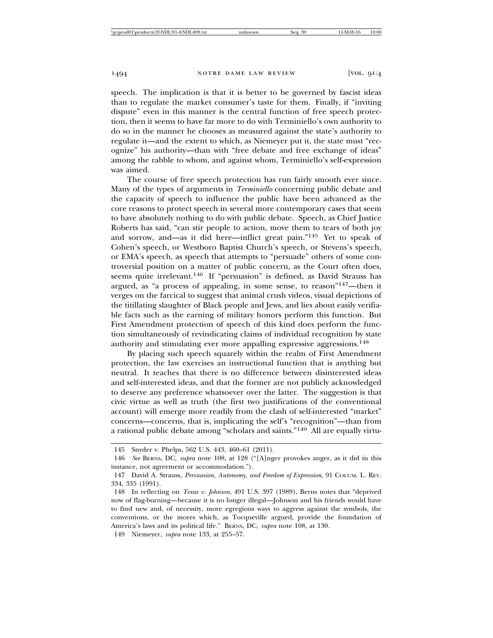speech. The implication is that it is better to be governed by fascist ideas than to regulate the market consumer's taste for them. Finally, if "inviting dispute" even in this manner is the central function of free speech protection, then it seems to have far more to do with Terminiello's own authority to do so in the manner he chooses as measured against the state's authority to regulate it—and the extent to which, as Niemeyer put it, the state must "recognize" his authority—than with "free debate and free exchange of ideas" among the rabble to whom, and against whom, Terminiello's self-expression was aimed.

The course of free speech protection has run fairly smooth ever since. Many of the types of arguments in *Terminiello* concerning public debate and the capacity of speech to influence the public have been advanced as the core reasons to protect speech in several more contemporary cases that seem to have absolutely nothing to do with public debate. Speech, as Chief Justice Roberts has said, "can stir people to action, move them to tears of both joy and sorrow, and—as it did here—inflict great pain."145 Yet to speak of Cohen's speech, or Westboro Baptist Church's speech, or Stevens's speech, or EMA's speech, as speech that attempts to "persuade" others of some controversial position on a matter of public concern, as the Court often does, seems quite irrelevant.146 If "persuasion" is defined, as David Strauss has argued, as "a process of appealing, in some sense, to reason"147—then it verges on the farcical to suggest that animal crush videos, visual depictions of the titillating slaughter of Black people and Jews, and lies about easily verifiable facts such as the earning of military honors perform this function. But First Amendment protection of speech of this kind does perform the function simultaneously of revindicating claims of individual recognition by state authority and stimulating ever more appalling expressive aggressions.<sup>148</sup>

By placing such speech squarely within the realm of First Amendment protection, the law exercises an instructional function that is anything but neutral. It teaches that there is no difference between disinterested ideas and self-interested ideas, and that the former are not publicly acknowledged to deserve any preference whatsoever over the latter. The suggestion is that civic virtue as well as truth (the first two justifications of the conventional account) will emerge more readily from the clash of self-interested "market" concerns—concerns, that is, implicating the self's "recognition"—than from a rational public debate among "scholars and saints."149 All are equally virtu-

<sup>145</sup> Snyder v. Phelps, 562 U.S. 443, 460–61 (2011).

<sup>146</sup> *See* BERNS, DC, *supra* note 108, at 128 ("[A]nger provokes anger, as it did in this instance, not agreement or accommodation.").

<sup>147</sup> David A. Strauss, *Persuasion, Autonomy, and Freedom of Expression*, 91 COLUM. L. REV. 334, 335 (1991).

<sup>148</sup> In reflecting on *Texas v. Johnson*, 491 U.S. 397 (1989), Berns notes that "deprived now of flag-burning—because it is no longer illegal—Johnson and his friends would have to find new and, of necessity, more egregious ways to aggress against the symbols, the conventions, or the mores which, as Tocqueville argued, provide the foundation of America's laws and its political life." BERNS, DC, *supra* note 108, at 130.

<sup>149</sup> Niemeyer, *supra* note 133, at 255–57.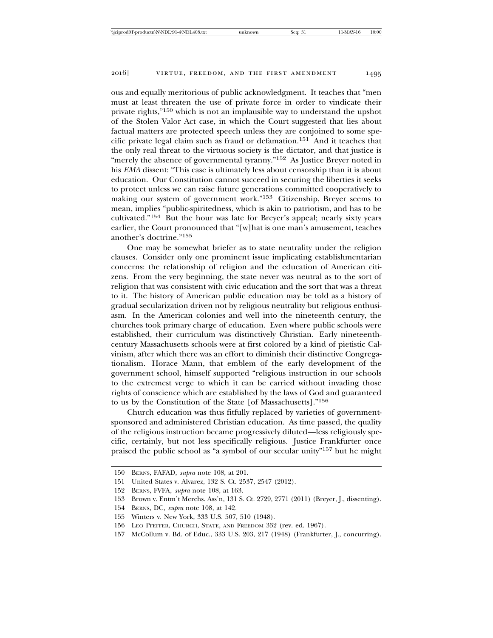ous and equally meritorious of public acknowledgment. It teaches that "men must at least threaten the use of private force in order to vindicate their private rights,"150 which is not an implausible way to understand the upshot of the Stolen Valor Act case, in which the Court suggested that lies about factual matters are protected speech unless they are conjoined to some specific private legal claim such as fraud or defamation.151 And it teaches that the only real threat to the virtuous society is the dictator, and that justice is "merely the absence of governmental tyranny."<sup>152</sup> As Justice Breyer noted in his *EMA* dissent: "This case is ultimately less about censorship than it is about education. Our Constitution cannot succeed in securing the liberties it seeks to protect unless we can raise future generations committed cooperatively to making our system of government work."153 Citizenship, Breyer seems to mean, implies "public-spiritedness, which is akin to patriotism, and has to be cultivated."154 But the hour was late for Breyer's appeal; nearly sixty years earlier, the Court pronounced that "[w]hat is one man's amusement, teaches another's doctrine."<sup>155</sup>

One may be somewhat briefer as to state neutrality under the religion clauses. Consider only one prominent issue implicating establishmentarian concerns: the relationship of religion and the education of American citizens. From the very beginning, the state never was neutral as to the sort of religion that was consistent with civic education and the sort that was a threat to it. The history of American public education may be told as a history of gradual secularization driven not by religious neutrality but religious enthusiasm. In the American colonies and well into the nineteenth century, the churches took primary charge of education. Even where public schools were established, their curriculum was distinctively Christian. Early nineteenthcentury Massachusetts schools were at first colored by a kind of pietistic Calvinism, after which there was an effort to diminish their distinctive Congregationalism. Horace Mann, that emblem of the early development of the government school, himself supported "religious instruction in our schools to the extremest verge to which it can be carried without invading those rights of conscience which are established by the laws of God and guaranteed to us by the Constitution of the State [of Massachusetts]."<sup>156</sup>

Church education was thus fitfully replaced by varieties of governmentsponsored and administered Christian education. As time passed, the quality of the religious instruction became progressively diluted—less religiously specific, certainly, but not less specifically religious. Justice Frankfurter once praised the public school as "a symbol of our secular unity"157 but he might

<sup>150</sup> BERNS, FAFAD, *supra* note 108, at 201.

<sup>151</sup> United States v. Alvarez, 132 S. Ct. 2537, 2547 (2012).

<sup>152</sup> BERNS, FVFA, *supra* note 108, at 163.

<sup>153</sup> Brown v. Entm't Merchs. Ass'n, 131 S. Ct. 2729, 2771 (2011) (Breyer, J., dissenting).

<sup>154</sup> BERNS, DC, *supra* note 108, at 142.

<sup>155</sup> Winters v. New York, 333 U.S. 507, 510 (1948).

<sup>156</sup> LEO PFEFFER, CHURCH, STATE, AND FREEDOM 332 (rev. ed. 1967).

<sup>157</sup> McCollum v. Bd. of Educ., 333 U.S. 203, 217 (1948) (Frankfurter, J., concurring).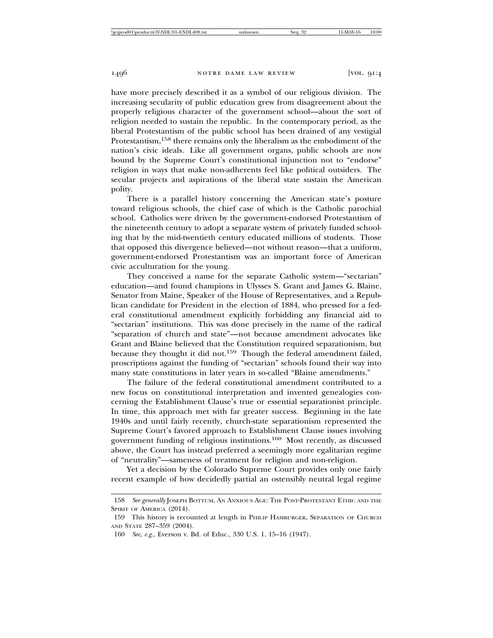have more precisely described it as a symbol of our religious division. The increasing secularity of public education grew from disagreement about the properly religious character of the government school—about the sort of religion needed to sustain the republic. In the contemporary period, as the liberal Protestantism of the public school has been drained of any vestigial Protestantism,<sup>158</sup> there remains only the liberalism as the embodiment of the nation's civic ideals. Like all government organs, public schools are now bound by the Supreme Court's constitutional injunction not to "endorse" religion in ways that make non-adherents feel like political outsiders. The secular projects and aspirations of the liberal state sustain the American polity.

There is a parallel history concerning the American state's posture toward religious schools, the chief case of which is the Catholic parochial school. Catholics were driven by the government-endorsed Protestantism of the nineteenth century to adopt a separate system of privately funded schooling that by the mid-twentieth century educated millions of students. Those that opposed this divergence believed—not without reason—that a uniform, government-endorsed Protestantism was an important force of American civic acculturation for the young.

They conceived a name for the separate Catholic system—"sectarian" education—and found champions in Ulysses S. Grant and James G. Blaine, Senator from Maine, Speaker of the House of Representatives, and a Republican candidate for President in the election of 1884, who pressed for a federal constitutional amendment explicitly forbidding any financial aid to "sectarian" institutions. This was done precisely in the name of the radical "separation of church and state"—not because amendment advocates like Grant and Blaine believed that the Constitution required separationism, but because they thought it did not.<sup>159</sup> Though the federal amendment failed, proscriptions against the funding of "sectarian" schools found their way into many state constitutions in later years in so-called "Blaine amendments."

The failure of the federal constitutional amendment contributed to a new focus on constitutional interpretation and invented genealogies concerning the Establishment Clause's true or essential separationist principle. In time, this approach met with far greater success. Beginning in the late 1940s and until fairly recently, church-state separationism represented the Supreme Court's favored approach to Establishment Clause issues involving government funding of religious institutions.160 Most recently, as discussed above, the Court has instead preferred a seemingly more egalitarian regime of "neutrality"—sameness of treatment for religion and non-religion.

Yet a decision by the Colorado Supreme Court provides only one fairly recent example of how decidedly partial an ostensibly neutral legal regime

<sup>158</sup> *See generally* JOSEPH BOTTUM, AN ANXIOUS AGE: THE POST-PROTESTANT ETHIC AND THE SPIRIT OF AMERICA (2014).

<sup>159</sup> This history is recounted at length in PHILIP HAMBURGER, SEPARATION OF CHURCH AND STATE 287–359 (2004).

<sup>160</sup> *See, e.g.*, Everson v. Bd. of Educ., 330 U.S. 1, 15–16 (1947).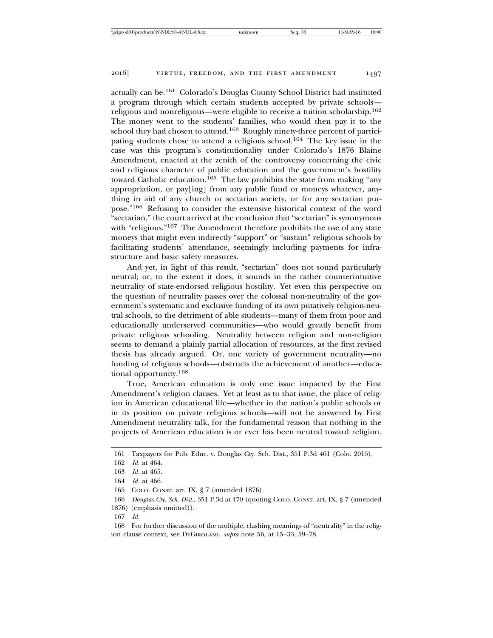actually can be.161 Colorado's Douglas County School District had instituted a program through which certain students accepted by private schools religious and nonreligious—were eligible to receive a tuition scholarship.<sup>162</sup> The money went to the students' families, who would then pay it to the school they had chosen to attend.163 Roughly ninety-three percent of participating students chose to attend a religious school.164 The key issue in the case was this program's constitutionality under Colorado's 1876 Blaine Amendment, enacted at the zenith of the controversy concerning the civic and religious character of public education and the government's hostility toward Catholic education.165 The law prohibits the state from making "any appropriation, or pay[ing] from any public fund or moneys whatever, anything in aid of any church or sectarian society, or for any sectarian purpose."166 Refusing to consider the extensive historical context of the word "sectarian," the court arrived at the conclusion that "sectarian" is synonymous with "religious."<sup>167</sup> The Amendment therefore prohibits the use of any state moneys that might even indirectly "support" or "sustain" religious schools by

structure and basic safety measures. And yet, in light of this result, "sectarian" does not sound particularly neutral; or, to the extent it does, it sounds in the rather counterintuitive neutrality of state-endorsed religious hostility. Yet even this perspective on the question of neutrality passes over the colossal non-neutrality of the government's systematic and exclusive funding of its own putatively religion-neutral schools, to the detriment of able students—many of them from poor and educationally underserved communities—who would greatly benefit from private religious schooling. Neutrality between religion and non-religion seems to demand a plainly partial allocation of resources, as the first revised thesis has already argued. Or, one variety of government neutrality—no funding of religious schools—obstructs the achievement of another—educational opportunity.<sup>168</sup>

facilitating students' attendance, seemingly including payments for infra-

True, American education is only one issue impacted by the First Amendment's religion clauses. Yet at least as to that issue, the place of religion in American educational life—whether in the nation's public schools or in its position on private religious schools—will not be answered by First Amendment neutrality talk, for the fundamental reason that nothing in the projects of American education is or ever has been neutral toward religion.

<sup>161</sup> Taxpayers for Pub. Educ. v. Douglas Cty. Sch. Dist., 351 P.3d 461 (Colo. 2015).

<sup>162</sup> *Id.* at 464.

<sup>163</sup> *Id.* at 465.

<sup>164</sup> *Id.* at 466.

<sup>165</sup> COLO. CONST. art. IX, § 7 (amended 1876).

<sup>166</sup> *Douglas Cty. Sch. Dist.*, 351 P.3d at 470 (quoting COLO. CONST. art. IX, § 7 (amended 1876) (emphasis omitted)).

<sup>167</sup> *Id.*

<sup>168</sup> For further discussion of the multiple, clashing meanings of "neutrality" in the religion clause context, see DEGIROLAMI, *supra* note 56, at 15–33, 59–78.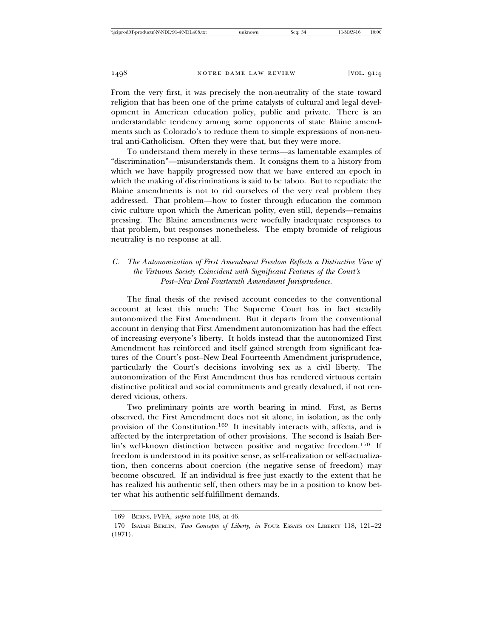From the very first, it was precisely the non-neutrality of the state toward religion that has been one of the prime catalysts of cultural and legal development in American education policy, public and private. There is an understandable tendency among some opponents of state Blaine amendments such as Colorado's to reduce them to simple expressions of non-neutral anti-Catholicism. Often they were that, but they were more.

To understand them merely in these terms—as lamentable examples of "discrimination"—misunderstands them. It consigns them to a history from which we have happily progressed now that we have entered an epoch in which the making of discriminations is said to be taboo. But to repudiate the Blaine amendments is not to rid ourselves of the very real problem they addressed. That problem—how to foster through education the common civic culture upon which the American polity, even still, depends—remains pressing. The Blaine amendments were woefully inadequate responses to that problem, but responses nonetheless. The empty bromide of religious neutrality is no response at all.

# *C. The Autonomization of First Amendment Freedom Reflects a Distinctive View of the Virtuous Society Coincident with Significant Features of the Court's Post–New Deal Fourteenth Amendment Jurisprudence.*

The final thesis of the revised account concedes to the conventional account at least this much: The Supreme Court has in fact steadily autonomized the First Amendment. But it departs from the conventional account in denying that First Amendment autonomization has had the effect of increasing everyone's liberty. It holds instead that the autonomized First Amendment has reinforced and itself gained strength from significant features of the Court's post–New Deal Fourteenth Amendment jurisprudence, particularly the Court's decisions involving sex as a civil liberty. The autonomization of the First Amendment thus has rendered virtuous certain distinctive political and social commitments and greatly devalued, if not rendered vicious, others.

Two preliminary points are worth bearing in mind. First, as Berns observed, the First Amendment does not sit alone, in isolation, as the only provision of the Constitution.169 It inevitably interacts with, affects, and is affected by the interpretation of other provisions. The second is Isaiah Berlin's well-known distinction between positive and negative freedom.170 If freedom is understood in its positive sense, as self-realization or self-actualization, then concerns about coercion (the negative sense of freedom) may become obscured. If an individual is free just exactly to the extent that he has realized his authentic self, then others may be in a position to know better what his authentic self-fulfillment demands.

<sup>169</sup> BERNS, FVFA, *supra* note 108, at 46.

<sup>170</sup> ISAIAH BERLIN, *Two Concepts of Liberty*, *in* FOUR ESSAYS ON LIBERTY 118, 121-22 (1971).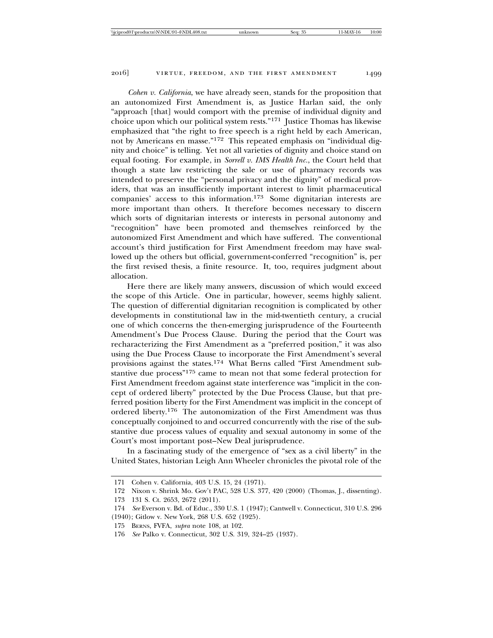*Cohen v. California*, we have already seen, stands for the proposition that an autonomized First Amendment is, as Justice Harlan said, the only "approach [that] would comport with the premise of individual dignity and choice upon which our political system rests."171 Justice Thomas has likewise emphasized that "the right to free speech is a right held by each American, not by Americans en masse."172 This repeated emphasis on "individual dignity and choice" is telling. Yet not all varieties of dignity and choice stand on equal footing. For example, in *Sorrell v. IMS Health Inc.*, the Court held that though a state law restricting the sale or use of pharmacy records was intended to preserve the "personal privacy and the dignity" of medical providers, that was an insufficiently important interest to limit pharmaceutical companies' access to this information.173 Some dignitarian interests are more important than others. It therefore becomes necessary to discern which sorts of dignitarian interests or interests in personal autonomy and "recognition" have been promoted and themselves reinforced by the autonomized First Amendment and which have suffered. The conventional account's third justification for First Amendment freedom may have swallowed up the others but official, government-conferred "recognition" is, per the first revised thesis, a finite resource. It, too, requires judgment about allocation.

Here there are likely many answers, discussion of which would exceed the scope of this Article. One in particular, however, seems highly salient. The question of differential dignitarian recognition is complicated by other developments in constitutional law in the mid-twentieth century, a crucial one of which concerns the then-emerging jurisprudence of the Fourteenth Amendment's Due Process Clause. During the period that the Court was recharacterizing the First Amendment as a "preferred position," it was also using the Due Process Clause to incorporate the First Amendment's several provisions against the states.174 What Berns called "First Amendment substantive due process"175 came to mean not that some federal protection for First Amendment freedom against state interference was "implicit in the concept of ordered liberty" protected by the Due Process Clause, but that preferred position liberty for the First Amendment was implicit in the concept of ordered liberty.176 The autonomization of the First Amendment was thus conceptually conjoined to and occurred concurrently with the rise of the substantive due process values of equality and sexual autonomy in some of the Court's most important post–New Deal jurisprudence.

In a fascinating study of the emergence of "sex as a civil liberty" in the United States, historian Leigh Ann Wheeler chronicles the pivotal role of the

<sup>171</sup> Cohen v. California, 403 U.S. 15, 24 (1971).

<sup>172</sup> Nixon v. Shrink Mo. Gov't PAC, 528 U.S. 377, 420 (2000) (Thomas, J., dissenting).

<sup>173 131</sup> S. Ct. 2653, 2672 (2011).

<sup>174</sup> *See* Everson v. Bd. of Educ., 330 U.S. 1 (1947); Cantwell v. Connecticut, 310 U.S. 296

<sup>(1940);</sup> Gitlow v. New York, 268 U.S. 652 (1925).

<sup>175</sup> BERNS, FVFA, *supra* note 108, at 102.

<sup>176</sup> *See* Palko v. Connecticut, 302 U.S. 319, 324–25 (1937).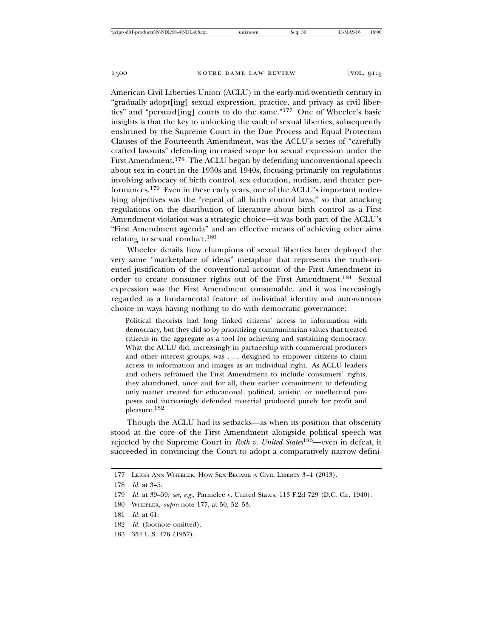American Civil Liberties Union (ACLU) in the early-mid-twentieth century in "gradually adopt[ing] sexual expression, practice, and privacy as civil liberties" and "persuad[ing] courts to do the same."177 One of Wheeler's basic insights is that the key to unlocking the vault of sexual liberties, subsequently enshrined by the Supreme Court in the Due Process and Equal Protection Clauses of the Fourteenth Amendment, was the ACLU's series of "carefully crafted lawsuits" defending increased scope for sexual expression under the First Amendment.<sup>178</sup> The ACLU began by defending unconventional speech about sex in court in the 1930s and 1940s, focusing primarily on regulations involving advocacy of birth control, sex education, nudism, and theater performances.179 Even in these early years, one of the ACLU's important underlying objectives was the "repeal of all birth control laws," so that attacking regulations on the distribution of literature about birth control as a First Amendment violation was a strategic choice—it was both part of the ACLU's "First Amendment agenda" and an effective means of achieving other aims relating to sexual conduct.<sup>180</sup>

Wheeler details how champions of sexual liberties later deployed the very same "marketplace of ideas" metaphor that represents the truth-oriented justification of the conventional account of the First Amendment in order to create consumer rights out of the First Amendment.181 Sexual expression was the First Amendment consumable, and it was increasingly regarded as a fundamental feature of individual identity and autonomous choice in ways having nothing to do with democratic governance:

Political theorists had long linked citizens' access to information with democracy, but they did so by prioritizing communitarian values that treated citizens in the aggregate as a tool for achieving and sustaining democracy. What the ACLU did, increasingly in partnership with commercial producers and other interest groups, was . . . designed to empower citizens to claim access to information and images as an individual right. As ACLU leaders and others reframed the First Amendment to include consumers' rights, they abandoned, once and for all, their earlier commitment to defending only matter created for educational, political, artistic, or intellectual purposes and increasingly defended material produced purely for profit and pleasure.182

Though the ACLU had its setbacks—as when its position that obscenity stood at the core of the First Amendment alongside political speech was rejected by the Supreme Court in *Roth v. United States*183—even in defeat, it succeeded in convincing the Court to adopt a comparatively narrow defini-

180 WHEELER, *supra* note 177, at 50, 52–53.

- 182 *Id.* (footnote omitted).
- 183 354 U.S. 476 (1957).

<sup>177</sup> LEIGH ANN WHEELER, HOW SEX BECAME A CIVIL LIBERTY 3–4 (2013).

<sup>178</sup> *Id.* at 3–5.

<sup>179</sup> *Id.* at 39–59; *see, e.g.*, Parmelee v. United States, 113 F.2d 729 (D.C. Cir. 1940).

<sup>181</sup> *Id.* at 61.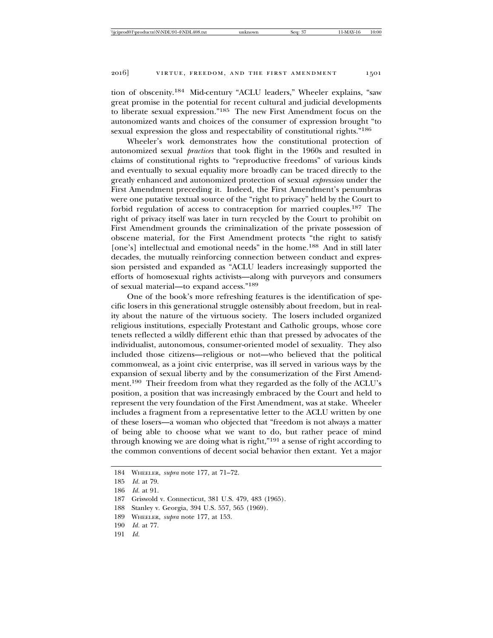tion of obscenity.184 Mid-century "ACLU leaders," Wheeler explains, "saw great promise in the potential for recent cultural and judicial developments to liberate sexual expression."185 The new First Amendment focus on the autonomized wants and choices of the consumer of expression brought "to sexual expression the gloss and respectability of constitutional rights."<sup>186</sup>

Wheeler's work demonstrates how the constitutional protection of autonomized sexual *practices* that took flight in the 1960s and resulted in claims of constitutional rights to "reproductive freedoms" of various kinds and eventually to sexual equality more broadly can be traced directly to the greatly enhanced and autonomized protection of sexual *expression* under the First Amendment preceding it. Indeed, the First Amendment's penumbras were one putative textual source of the "right to privacy" held by the Court to forbid regulation of access to contraception for married couples.187 The right of privacy itself was later in turn recycled by the Court to prohibit on First Amendment grounds the criminalization of the private possession of obscene material, for the First Amendment protects "the right to satisfy [one's] intellectual and emotional needs" in the home.<sup>188</sup> And in still later decades, the mutually reinforcing connection between conduct and expression persisted and expanded as "ACLU leaders increasingly supported the efforts of homosexual rights activists—along with purveyors and consumers of sexual material—to expand access."<sup>189</sup>

One of the book's more refreshing features is the identification of specific losers in this generational struggle ostensibly about freedom, but in reality about the nature of the virtuous society. The losers included organized religious institutions, especially Protestant and Catholic groups, whose core tenets reflected a wildly different ethic than that pressed by advocates of the individualist, autonomous, consumer-oriented model of sexuality. They also included those citizens—religious or not—who believed that the political commonweal, as a joint civic enterprise, was ill served in various ways by the expansion of sexual liberty and by the consumerization of the First Amendment.190 Their freedom from what they regarded as the folly of the ACLU's position, a position that was increasingly embraced by the Court and held to represent the very foundation of the First Amendment, was at stake. Wheeler includes a fragment from a representative letter to the ACLU written by one of these losers—a woman who objected that "freedom is not always a matter of being able to choose what we want to do, but rather peace of mind through knowing we are doing what is right,"191 a sense of right according to the common conventions of decent social behavior then extant. Yet a major

<sup>184</sup> WHEELER, *supra* note 177, at 71–72.

<sup>185</sup> *Id.* at 79.

<sup>186</sup> *Id.* at 91.

<sup>187</sup> Griswold v. Connecticut, 381 U.S. 479, 483 (1965).

<sup>188</sup> Stanley v. Georgia, 394 U.S. 557, 565 (1969).

<sup>189</sup> WHEELER, *supra* note 177, at 153.

<sup>190</sup> *Id.* at 77.

<sup>191</sup> *Id.*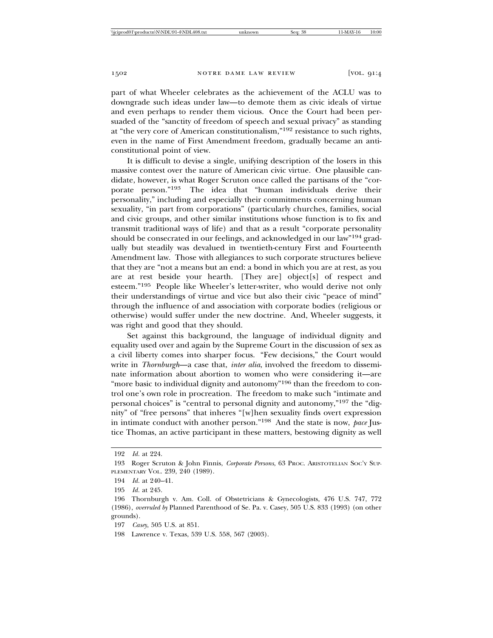part of what Wheeler celebrates as the achievement of the ACLU was to downgrade such ideas under law—to demote them as civic ideals of virtue and even perhaps to render them vicious. Once the Court had been persuaded of the "sanctity of freedom of speech and sexual privacy" as standing at "the very core of American constitutionalism,"192 resistance to such rights, even in the name of First Amendment freedom, gradually became an anticonstitutional point of view.

It is difficult to devise a single, unifying description of the losers in this massive contest over the nature of American civic virtue. One plausible candidate, however, is what Roger Scruton once called the partisans of the "corporate person."193 The idea that "human individuals derive their personality," including and especially their commitments concerning human sexuality, "in part from corporations" (particularly churches, families, social and civic groups, and other similar institutions whose function is to fix and transmit traditional ways of life) and that as a result "corporate personality should be consecrated in our feelings, and acknowledged in our law"194 gradually but steadily was devalued in twentieth-century First and Fourteenth Amendment law. Those with allegiances to such corporate structures believe that they are "not a means but an end: a bond in which you are at rest, as you are at rest beside your hearth. [They are] object[s] of respect and esteem."195 People like Wheeler's letter-writer, who would derive not only their understandings of virtue and vice but also their civic "peace of mind" through the influence of and association with corporate bodies (religious or otherwise) would suffer under the new doctrine. And, Wheeler suggests, it was right and good that they should.

Set against this background, the language of individual dignity and equality used over and again by the Supreme Court in the discussion of sex as a civil liberty comes into sharper focus. "Few decisions," the Court would write in *Thornburgh*—a case that, *inter alia*, involved the freedom to disseminate information about abortion to women who were considering it—are "more basic to individual dignity and autonomy"<sup>196</sup> than the freedom to control one's own role in procreation. The freedom to make such "intimate and personal choices" is "central to personal dignity and autonomy,"197 the "dignity" of "free persons" that inheres "[w]hen sexuality finds overt expression in intimate conduct with another person."198 And the state is now, *pace* Justice Thomas, an active participant in these matters, bestowing dignity as well

<sup>192</sup> *Id.* at 224.

<sup>193</sup> Roger Scruton & John Finnis, *Corporate Persons*, 63 PROC. ARISTOTELIAN SOC'Y SUP-PLEMENTARY VOL. 239, 240 (1989).

<sup>194</sup> *Id.* at 240–41.

<sup>195</sup> *Id.* at 245.

<sup>196</sup> Thornburgh v. Am. Coll. of Obstetricians & Gynecologists, 476 U.S. 747, 772 (1986), *overruled by* Planned Parenthood of Se. Pa. v. Casey, 505 U.S. 833 (1993) (on other grounds).

<sup>197</sup> *Casey*, 505 U.S. at 851.

<sup>198</sup> Lawrence v. Texas, 539 U.S. 558, 567 (2003).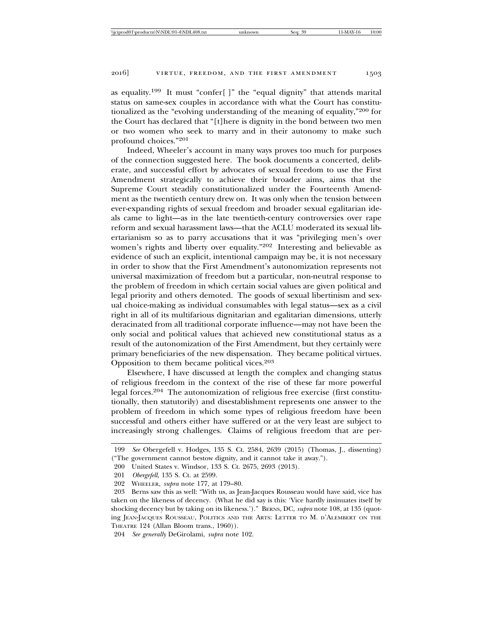as equality.199 It must "confer[ ]" the "equal dignity" that attends marital status on same-sex couples in accordance with what the Court has constitutionalized as the "evolving understanding of the meaning of equality,"200 for the Court has declared that "[t]here is dignity in the bond between two men or two women who seek to marry and in their autonomy to make such profound choices."<sup>201</sup>

Indeed, Wheeler's account in many ways proves too much for purposes of the connection suggested here. The book documents a concerted, deliberate, and successful effort by advocates of sexual freedom to use the First Amendment strategically to achieve their broader aims, aims that the Supreme Court steadily constitutionalized under the Fourteenth Amendment as the twentieth century drew on. It was only when the tension between ever-expanding rights of sexual freedom and broader sexual egalitarian ideals came to light—as in the late twentieth-century controversies over rape reform and sexual harassment laws—that the ACLU moderated its sexual libertarianism so as to parry accusations that it was "privileging men's over women's rights and liberty over equality."202 Interesting and believable as evidence of such an explicit, intentional campaign may be, it is not necessary in order to show that the First Amendment's autonomization represents not universal maximization of freedom but a particular, non-neutral response to the problem of freedom in which certain social values are given political and legal priority and others demoted. The goods of sexual libertinism and sexual choice-making as individual consumables with legal status—sex as a civil right in all of its multifarious dignitarian and egalitarian dimensions, utterly deracinated from all traditional corporate influence—may not have been the only social and political values that achieved new constitutional status as a result of the autonomization of the First Amendment, but they certainly were primary beneficiaries of the new dispensation. They became political virtues. Opposition to them became political vices.<sup>203</sup>

Elsewhere, I have discussed at length the complex and changing status of religious freedom in the context of the rise of these far more powerful legal forces.204 The autonomization of religious free exercise (first constitutionally, then statutorily) and disestablishment represents one answer to the problem of freedom in which some types of religious freedom have been successful and others either have suffered or at the very least are subject to increasingly strong challenges. Claims of religious freedom that are per-

<sup>199</sup> *See* Obergefell v. Hodges, 135 S. Ct. 2584, 2639 (2015) (Thomas, J., dissenting) ("The government cannot bestow dignity, and it cannot take it away.").

<sup>200</sup> United States v. Windsor, 133 S. Ct. 2675, 2693 (2013).

<sup>201</sup> *Obergefell*, 135 S. Ct. at 2599.

<sup>202</sup> WHEELER, *supra* note 177, at 179–80.

<sup>203</sup> Berns saw this as well: "With us, as Jean-Jacques Rousseau would have said, vice has taken on the likeness of decency. (What he did say is this: 'Vice hardly insinuates itself by shocking decency but by taking on its likeness.')." BERNS, DC, *supra* note 108, at 135 (quoting JEAN-JACQUES ROUSSEAU, POLITICS AND THE ARTS: LETTER TO M. D'ALEMBERT ON THE THEATRE 124 (Allan Bloom trans., 1960)).

<sup>204</sup> *See generally* DeGirolami, *supra* note 102.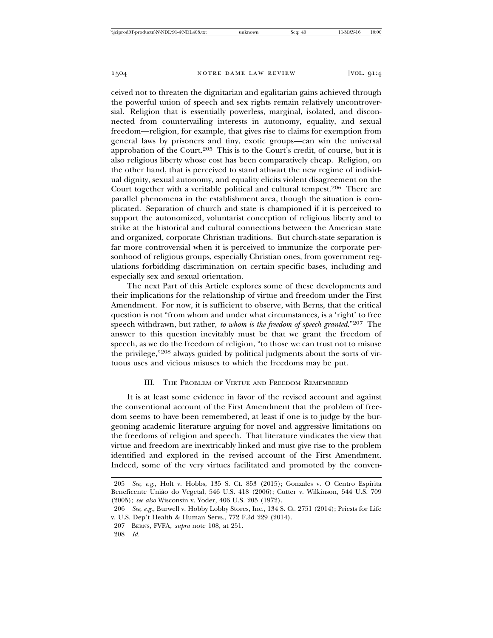ceived not to threaten the dignitarian and egalitarian gains achieved through the powerful union of speech and sex rights remain relatively uncontroversial. Religion that is essentially powerless, marginal, isolated, and disconnected from countervailing interests in autonomy, equality, and sexual freedom—religion, for example, that gives rise to claims for exemption from general laws by prisoners and tiny, exotic groups—can win the universal approbation of the Court.205 This is to the Court's credit, of course, but it is also religious liberty whose cost has been comparatively cheap. Religion, on the other hand, that is perceived to stand athwart the new regime of individual dignity, sexual autonomy, and equality elicits violent disagreement on the Court together with a veritable political and cultural tempest.<sup>206</sup> There are parallel phenomena in the establishment area, though the situation is complicated. Separation of church and state is championed if it is perceived to support the autonomized, voluntarist conception of religious liberty and to strike at the historical and cultural connections between the American state and organized, corporate Christian traditions. But church-state separation is far more controversial when it is perceived to immunize the corporate personhood of religious groups, especially Christian ones, from government regulations forbidding discrimination on certain specific bases, including and especially sex and sexual orientation.

The next Part of this Article explores some of these developments and their implications for the relationship of virtue and freedom under the First Amendment. For now, it is sufficient to observe, with Berns, that the critical question is not "from whom and under what circumstances, is a 'right' to free speech withdrawn, but rather, *to whom is the freedom of speech granted*."207 The answer to this question inevitably must be that we grant the freedom of speech, as we do the freedom of religion, "to those we can trust not to misuse the privilege,"208 always guided by political judgments about the sorts of virtuous uses and vicious misuses to which the freedoms may be put.

#### III. THE PROBLEM OF VIRTUE AND FREEDOM REMEMBERED

It is at least some evidence in favor of the revised account and against the conventional account of the First Amendment that the problem of freedom seems to have been remembered, at least if one is to judge by the burgeoning academic literature arguing for novel and aggressive limitations on the freedoms of religion and speech. That literature vindicates the view that virtue and freedom are inextricably linked and must give rise to the problem identified and explored in the revised account of the First Amendment. Indeed, some of the very virtues facilitated and promoted by the conven-

<sup>205</sup> *See, e.g.*, Holt v. Hobbs, 135 S. Ct. 853 (2015); Gonzales v. O Centro Espírita Beneficente União do Vegetal, 546 U.S. 418 (2006); Cutter v. Wilkinson, 544 U.S. 709 (2005); *see also* Wisconsin v. Yoder, 406 U.S. 205 (1972).

<sup>206</sup> *See, e.g.*, Burwell v. Hobby Lobby Stores, Inc., 134 S. Ct. 2751 (2014); Priests for Life v. U.S. Dep't Health & Human Servs., 772 F.3d 229 (2014).

<sup>207</sup> BERNS, FVFA, *supra* note 108, at 251.

<sup>208</sup> *Id.*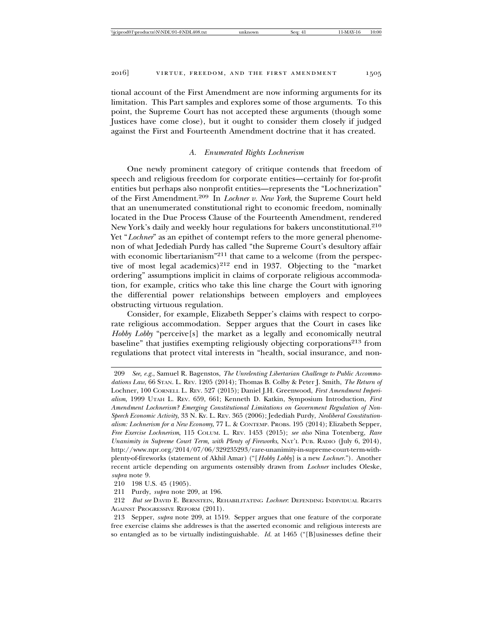tional account of the First Amendment are now informing arguments for its limitation. This Part samples and explores some of those arguments. To this point, the Supreme Court has not accepted these arguments (though some Justices have come close), but it ought to consider them closely if judged against the First and Fourteenth Amendment doctrine that it has created.

#### *A. Enumerated Rights Lochnerism*

One newly prominent category of critique contends that freedom of speech and religious freedom for corporate entities—certainly for for-profit entities but perhaps also nonprofit entities—represents the "Lochnerization" of the First Amendment.209 In *Lochner v. New York*, the Supreme Court held that an unenumerated constitutional right to economic freedom, nominally located in the Due Process Clause of the Fourteenth Amendment, rendered New York's daily and weekly hour regulations for bakers unconstitutional.<sup>210</sup> Yet "*Lochner*" as an epithet of contempt refers to the more general phenomenon of what Jedediah Purdy has called "the Supreme Court's desultory affair with economic libertarianism"<sup>211</sup> that came to a welcome (from the perspective of most legal academics)<sup>212</sup> end in 1937. Objecting to the "market" ordering" assumptions implicit in claims of corporate religious accommodation, for example, critics who take this line charge the Court with ignoring the differential power relationships between employers and employees obstructing virtuous regulation.

Consider, for example, Elizabeth Sepper's claims with respect to corporate religious accommodation. Sepper argues that the Court in cases like *Hobby Lobby* "perceive[s] the market as a legally and economically neutral baseline" that justifies exempting religiously objecting corporations<sup>213</sup> from regulations that protect vital interests in "health, social insurance, and non-

<sup>209</sup> *See, e.g.*, Samuel R. Bagenstos, *The Unrelenting Libertarian Challenge to Public Accommodations Law*, 66 STAN. L. REV. 1205 (2014); Thomas B. Colby & Peter J. Smith, *The Return of* Lochner, 100 CORNELL L. REV. 527 (2015); Daniel J.H. Greenwood, *First Amendment Imperialism*, 1999 UTAH L. REV. 659, 661; Kenneth D. Katkin, Symposium Introduction, *First Amendment Lochnerism? Emerging Constitutional Limitations on Government Regulation of Non-Speech Economic Activity*, 33 N. KY. L. REV. 365 (2006); Jedediah Purdy, *Neoliberal Constitutionalism: Lochnerism for a New Economy*, 77 L. & CONTEMP. PROBS. 195 (2014); Elizabeth Sepper, *Free Exercise Lochnerism*, 115 COLUM. L. REV. 1453 (2015); *see also* Nina Totenberg, *Rare Unanimity in Supreme Court Term, with Plenty of Fireworks*, NAT'L PUB. RADIO (July 6, 2014), http://www.npr.org/2014/07/06/329235293/rare-unanimity-in-supreme-court-term-withplenty-of-fireworks (statement of Akhil Amar) ("[*Hobby Lobby*] is a new *Lochner*."). Another recent article depending on arguments ostensibly drawn from *Lochner* includes Oleske, *supra* note 9.

<sup>210 198</sup> U.S. 45 (1905).

<sup>211</sup> Purdy, *supra* note 209, at 196.

<sup>212</sup> *But see* DAVID E. BERNSTEIN, REHABILITATING *Lochner*: DEFENDING INDIVIDUAL RIGHTS AGAINST PROGRESSIVE REFORM (2011).

<sup>213</sup> Sepper, *supra* note 209, at 1519. Sepper argues that one feature of the corporate free exercise claims she addresses is that the asserted economic and religious interests are so entangled as to be virtually indistinguishable. *Id.* at 1465 ("[B]usinesses define their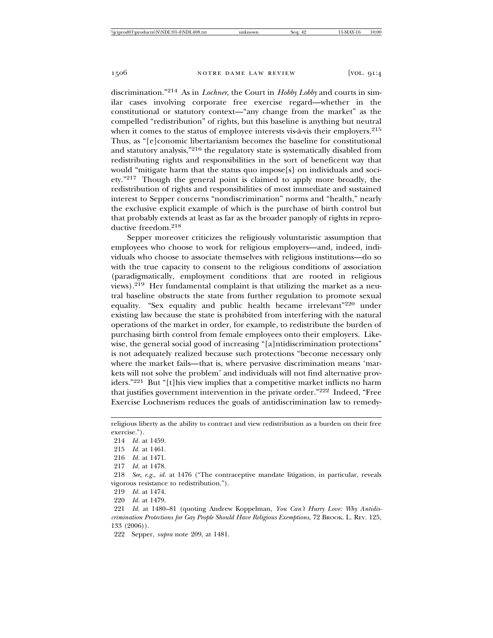discrimination."214 As in *Lochner*, the Court in *Hobby Lobby* and courts in similar cases involving corporate free exercise regard—whether in the constitutional or statutory context—"any change from the market" as the compelled "redistribution" of rights, but this baseline is anything but neutral when it comes to the status of employee interests vis- $\hat{a}$ -vis their employers.<sup>215</sup> Thus, as "[e]conomic libertarianism becomes the baseline for constitutional and statutory analysis,"216 the regulatory state is systematically disabled from redistributing rights and responsibilities in the sort of beneficent way that would "mitigate harm that the status quo impose[s] on individuals and society."217 Though the general point is claimed to apply more broadly, the redistribution of rights and responsibilities of most immediate and sustained interest to Sepper concerns "nondiscrimination" norms and "health," nearly the exclusive explicit example of which is the purchase of birth control but that probably extends at least as far as the broader panoply of rights in reproductive freedom.<sup>218</sup>

Sepper moreover criticizes the religiously voluntaristic assumption that employees who choose to work for religious employers—and, indeed, individuals who choose to associate themselves with religious institutions—do so with the true capacity to consent to the religious conditions of association (paradigmatically, employment conditions that are rooted in religious views).219 Her fundamental complaint is that utilizing the market as a neutral baseline obstructs the state from further regulation to promote sexual equality. "Sex equality and public health became irrelevant"220 under existing law because the state is prohibited from interfering with the natural operations of the market in order, for example, to redistribute the burden of purchasing birth control from female employees onto their employers. Likewise, the general social good of increasing "[a]ntidiscrimination protections" is not adequately realized because such protections "become necessary only where the market fails—that is, where pervasive discrimination means 'markets will not solve the problem' and individuals will not find alternative providers."221 But "[t]his view implies that a competitive market inflicts no harm that justifies government intervention in the private order."222 Indeed, "Free Exercise Lochnerism reduces the goals of antidiscrimination law to remedy-

214 *Id.* at 1459. 215 *Id.* at 1461.

220 *Id.* at 1479.

religious liberty as the ability to contract and view redistribution as a burden on their free exercise.").

<sup>216</sup> *Id.* at 1471.

<sup>217</sup> *Id.* at 1478.

<sup>218</sup> *See, e.g.*, *id.* at 1476 ("The contraceptive mandate litigation, in particular, reveals vigorous resistance to redistribution.").

<sup>219</sup> *Id.* at 1474.

<sup>221</sup> *Id.* at 1480–81 (quoting Andrew Koppelman, *You Can't Hurry Love: Why Antidiscrimination Protections for Gay People Should Have Religious Exemptions*, 72 BROOK. L. REV. 125, 133 (2006)).

<sup>222</sup> Sepper, *supra* note 209, at 1481.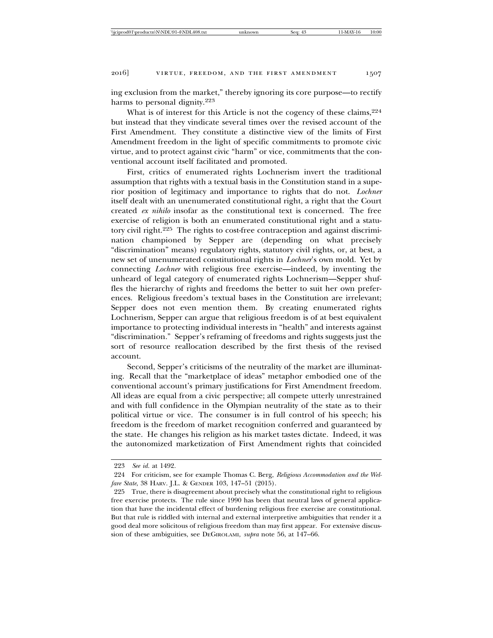ing exclusion from the market," thereby ignoring its core purpose—to rectify harms to personal dignity.<sup>223</sup>

What is of interest for this Article is not the cogency of these claims,  $224$ but instead that they vindicate several times over the revised account of the First Amendment. They constitute a distinctive view of the limits of First Amendment freedom in the light of specific commitments to promote civic virtue, and to protect against civic "harm" or vice, commitments that the conventional account itself facilitated and promoted.

First, critics of enumerated rights Lochnerism invert the traditional assumption that rights with a textual basis in the Constitution stand in a superior position of legitimacy and importance to rights that do not. *Lochner* itself dealt with an unenumerated constitutional right, a right that the Court created *ex nihilo* insofar as the constitutional text is concerned. The free exercise of religion is both an enumerated constitutional right and a statutory civil right.225 The rights to cost-free contraception and against discrimination championed by Sepper are (depending on what precisely "discrimination" means) regulatory rights, statutory civil rights, or, at best, a new set of unenumerated constitutional rights in *Lochner*'s own mold. Yet by connecting *Lochner* with religious free exercise—indeed, by inventing the unheard of legal category of enumerated rights Lochnerism—Sepper shuffles the hierarchy of rights and freedoms the better to suit her own preferences. Religious freedom's textual bases in the Constitution are irrelevant; Sepper does not even mention them. By creating enumerated rights Lochnerism, Sepper can argue that religious freedom is of at best equivalent importance to protecting individual interests in "health" and interests against "discrimination." Sepper's reframing of freedoms and rights suggests just the sort of resource reallocation described by the first thesis of the revised account.

Second, Sepper's criticisms of the neutrality of the market are illuminating. Recall that the "marketplace of ideas" metaphor embodied one of the conventional account's primary justifications for First Amendment freedom. All ideas are equal from a civic perspective; all compete utterly unrestrained and with full confidence in the Olympian neutrality of the state as to their political virtue or vice. The consumer is in full control of his speech; his freedom is the freedom of market recognition conferred and guaranteed by the state. He changes his religion as his market tastes dictate. Indeed, it was the autonomized marketization of First Amendment rights that coincided

<sup>223</sup> *See id.* at 1492.

<sup>224</sup> For criticism, see for example Thomas C. Berg, *Religious Accommodation and the Welfare State*, 38 HARV. J.L. & GENDER 103, 147–51 (2015).

<sup>225</sup> True, there is disagreement about precisely what the constitutional right to religious free exercise protects. The rule since 1990 has been that neutral laws of general application that have the incidental effect of burdening religious free exercise are constitutional. But that rule is riddled with internal and external interpretive ambiguities that render it a good deal more solicitous of religious freedom than may first appear. For extensive discussion of these ambiguities, see DEGIROLAMI, *supra* note 56, at 147–66.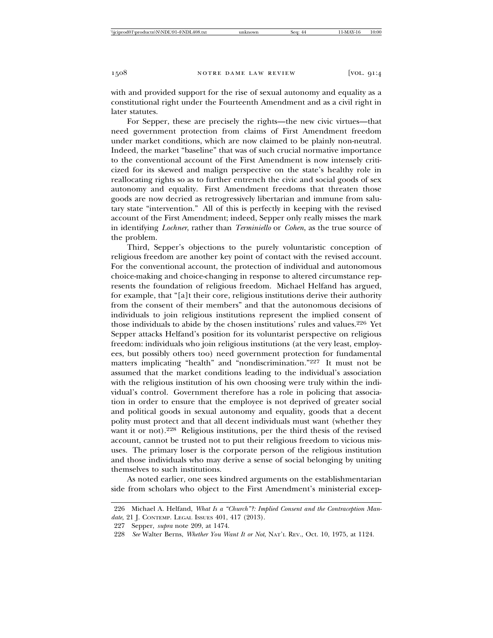with and provided support for the rise of sexual autonomy and equality as a constitutional right under the Fourteenth Amendment and as a civil right in later statutes.

For Sepper, these are precisely the rights—the new civic virtues—that need government protection from claims of First Amendment freedom under market conditions, which are now claimed to be plainly non-neutral. Indeed, the market "baseline" that was of such crucial normative importance to the conventional account of the First Amendment is now intensely criticized for its skewed and malign perspective on the state's healthy role in reallocating rights so as to further entrench the civic and social goods of sex autonomy and equality. First Amendment freedoms that threaten those goods are now decried as retrogressively libertarian and immune from salutary state "intervention." All of this is perfectly in keeping with the revised account of the First Amendment; indeed, Sepper only really misses the mark in identifying *Lochner*, rather than *Terminiello* or *Cohen*, as the true source of the problem.

Third, Sepper's objections to the purely voluntaristic conception of religious freedom are another key point of contact with the revised account. For the conventional account, the protection of individual and autonomous choice-making and choice-changing in response to altered circumstance represents the foundation of religious freedom. Michael Helfand has argued, for example, that "[a]t their core, religious institutions derive their authority from the consent of their members" and that the autonomous decisions of individuals to join religious institutions represent the implied consent of those individuals to abide by the chosen institutions' rules and values.226 Yet Sepper attacks Helfand's position for its voluntarist perspective on religious freedom: individuals who join religious institutions (at the very least, employees, but possibly others too) need government protection for fundamental matters implicating "health" and "nondiscrimination."227 It must not be assumed that the market conditions leading to the individual's association with the religious institution of his own choosing were truly within the individual's control. Government therefore has a role in policing that association in order to ensure that the employee is not deprived of greater social and political goods in sexual autonomy and equality, goods that a decent polity must protect and that all decent individuals must want (whether they want it or not).<sup>228</sup> Religious institutions, per the third thesis of the revised account, cannot be trusted not to put their religious freedom to vicious misuses. The primary loser is the corporate person of the religious institution and those individuals who may derive a sense of social belonging by uniting themselves to such institutions.

As noted earlier, one sees kindred arguments on the establishmentarian side from scholars who object to the First Amendment's ministerial excep-

<sup>226</sup> Michael A. Helfand, *What Is a "Church"?: Implied Consent and the Contraception Mandate*, 21 J. CONTEMP. LEGAL ISSUES 401, 417 (2013).

<sup>227</sup> Sepper, *supra* note 209, at 1474.

<sup>228</sup> *See* Walter Berns, *Whether You Want It or Not*, NAT'L REV., Oct. 10, 1975, at 1124.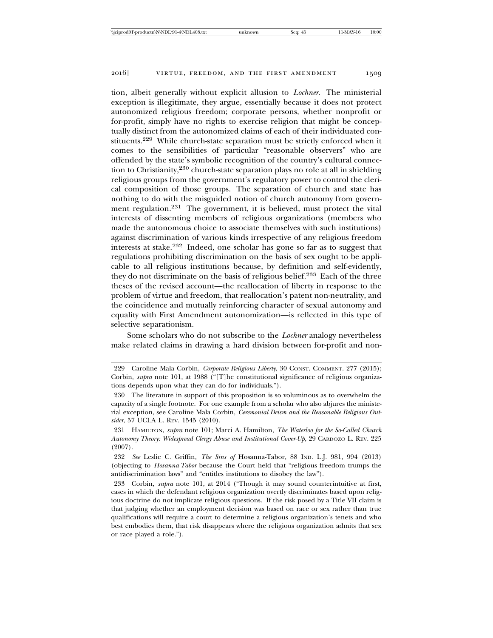tion, albeit generally without explicit allusion to *Lochner*. The ministerial exception is illegitimate, they argue, essentially because it does not protect autonomized religious freedom; corporate persons, whether nonprofit or for-profit, simply have no rights to exercise religion that might be conceptually distinct from the autonomized claims of each of their individuated constituents.229 While church-state separation must be strictly enforced when it comes to the sensibilities of particular "reasonable observers" who are offended by the state's symbolic recognition of the country's cultural connection to Christianity,230 church-state separation plays no role at all in shielding religious groups from the government's regulatory power to control the clerical composition of those groups. The separation of church and state has nothing to do with the misguided notion of church autonomy from government regulation.231 The government, it is believed, must protect the vital interests of dissenting members of religious organizations (members who made the autonomous choice to associate themselves with such institutions) against discrimination of various kinds irrespective of any religious freedom interests at stake.232 Indeed, one scholar has gone so far as to suggest that regulations prohibiting discrimination on the basis of sex ought to be applicable to all religious institutions because, by definition and self-evidently, they do not discriminate on the basis of religious belief.233 Each of the three theses of the revised account—the reallocation of liberty in response to the problem of virtue and freedom, that reallocation's patent non-neutrality, and the coincidence and mutually reinforcing character of sexual autonomy and equality with First Amendment autonomization—is reflected in this type of selective separationism.

Some scholars who do not subscribe to the *Lochner* analogy nevertheless make related claims in drawing a hard division between for-profit and non-

<sup>229</sup> Caroline Mala Corbin, *Corporate Religious Liberty*, 30 CONST. COMMENT. 277 (2015); Corbin, *supra* note 101, at 1988 ("[T]he constitutional significance of religious organizations depends upon what they can do for individuals.").

<sup>230</sup> The literature in support of this proposition is so voluminous as to overwhelm the capacity of a single footnote. For one example from a scholar who also abjures the ministerial exception, see Caroline Mala Corbin, *Ceremonial Deism and the Reasonable Religious Outsider*, 57 UCLA L. REV. 1545 (2010).

<sup>231</sup> HAMILTON, *supra* note 101; Marci A. Hamilton, *The Waterloo for the So-Called Church Autonomy Theory: Widespread Clergy Abuse and Institutional Cover-Up*, 29 CARDOZO L. REV. 225 (2007).

<sup>232</sup> *See* Leslie C. Griffin, *The Sins of* Hosanna-Tabor, 88 IND. L.J. 981, 994 (2013) (objecting to *Hosanna-Tabor* because the Court held that "religious freedom trumps the antidiscrimination laws" and "entitles institutions to disobey the law").

<sup>233</sup> Corbin, *supra* note 101, at 2014 ("Though it may sound counterintuitive at first, cases in which the defendant religious organization overtly discriminates based upon religious doctrine do not implicate religious questions. If the risk posed by a Title VII claim is that judging whether an employment decision was based on race or sex rather than true qualifications will require a court to determine a religious organization's tenets and who best embodies them, that risk disappears where the religious organization admits that sex or race played a role.").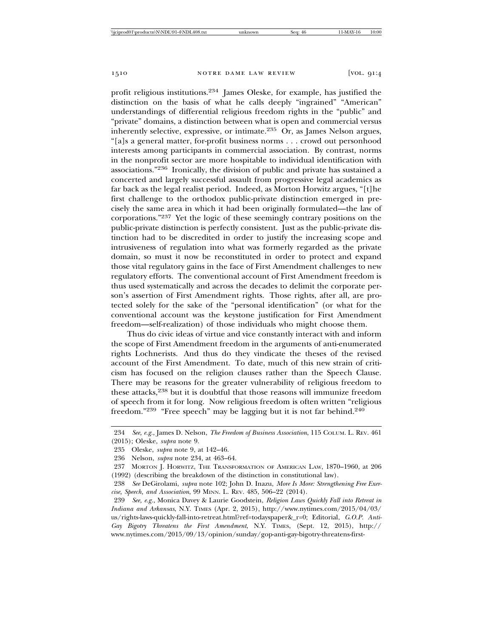profit religious institutions.234 James Oleske, for example, has justified the distinction on the basis of what he calls deeply "ingrained" "American" understandings of differential religious freedom rights in the "public" and "private" domains, a distinction between what is open and commercial versus inherently selective, expressive, or intimate.235 Or, as James Nelson argues, "[a]s a general matter, for-profit business norms . . . crowd out personhood interests among participants in commercial association. By contrast, norms in the nonprofit sector are more hospitable to individual identification with associations."236 Ironically, the division of public and private has sustained a concerted and largely successful assault from progressive legal academics as far back as the legal realist period. Indeed, as Morton Horwitz argues, "[t]he first challenge to the orthodox public-private distinction emerged in precisely the same area in which it had been originally formulated—the law of corporations."237 Yet the logic of these seemingly contrary positions on the public-private distinction is perfectly consistent. Just as the public-private distinction had to be discredited in order to justify the increasing scope and intrusiveness of regulation into what was formerly regarded as the private domain, so must it now be reconstituted in order to protect and expand those vital regulatory gains in the face of First Amendment challenges to new regulatory efforts. The conventional account of First Amendment freedom is thus used systematically and across the decades to delimit the corporate person's assertion of First Amendment rights. Those rights, after all, are protected solely for the sake of the "personal identification" (or what for the conventional account was the keystone justification for First Amendment freedom—self-realization) of those individuals who might choose them.

Thus do civic ideas of virtue and vice constantly interact with and inform the scope of First Amendment freedom in the arguments of anti-enumerated rights Lochnerists. And thus do they vindicate the theses of the revised account of the First Amendment. To date, much of this new strain of criticism has focused on the religion clauses rather than the Speech Clause. There may be reasons for the greater vulnerability of religious freedom to these attacks,<sup>238</sup> but it is doubtful that those reasons will immunize freedom of speech from it for long. Now religious freedom is often written "religious freedom."239 "Free speech" may be lagging but it is not far behind.240

<sup>234</sup> *See, e.g.*, James D. Nelson, *The Freedom of Business Association*, 115 COLUM. L. REV. 461 (2015); Oleske, *supra* note 9.

<sup>235</sup> Oleske, *supra* note 9, at 142–46.

<sup>236</sup> Nelson, *supra* note 234, at 463–64.

<sup>237</sup> MORTON J. HORWITZ, THE TRANSFORMATION OF AMERICAN LAW, 1870–1960, at 206 (1992) (describing the breakdown of the distinction in constitutional law).

<sup>238</sup> *See* DeGirolami, *supra* note 102; John D. Inazu, *More Is More: Strengthening Free Exercise, Speech, and Association*, 99 MINN. L. REV. 485, 506–22 (2014).

<sup>239</sup> *See, e.g.*, Monica Davey & Laurie Goodstein, *Religion Laws Quickly Fall into Retreat in Indiana and Arkansas*, N.Y. TIMES (Apr. 2, 2015), http://www.nytimes.com/2015/04/03/ us/rights-laws-quickly-fall-into-retreat.html?ref=todayspaper&\_r=0; Editorial, *G.O.P. Anti-Gay Bigotry Threatens the First Amendment*, N.Y. TIMES, (Sept. 12, 2015), http:// www.nytimes.com/2015/09/13/opinion/sunday/gop-anti-gay-bigotry-threatens-first-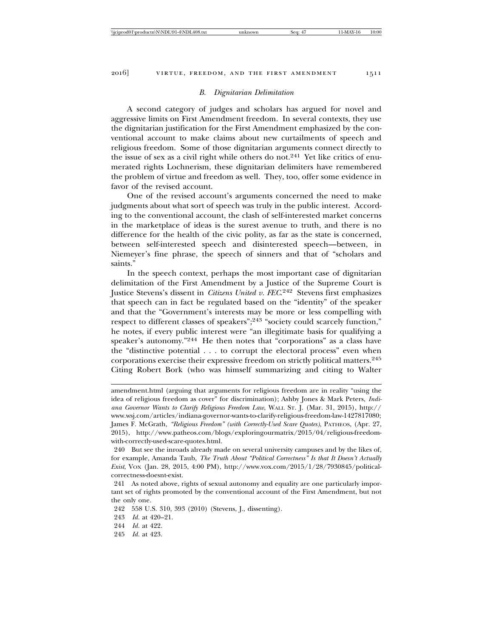#### *B. Dignitarian Delimitation*

A second category of judges and scholars has argued for novel and aggressive limits on First Amendment freedom. In several contexts, they use the dignitarian justification for the First Amendment emphasized by the conventional account to make claims about new curtailments of speech and religious freedom. Some of those dignitarian arguments connect directly to the issue of sex as a civil right while others do not.<sup>241</sup> Yet like critics of enumerated rights Lochnerism, these dignitarian delimiters have remembered the problem of virtue and freedom as well. They, too, offer some evidence in favor of the revised account.

One of the revised account's arguments concerned the need to make judgments about what sort of speech was truly in the public interest. According to the conventional account, the clash of self-interested market concerns in the marketplace of ideas is the surest avenue to truth, and there is no difference for the health of the civic polity, as far as the state is concerned, between self-interested speech and disinterested speech—between, in Niemeyer's fine phrase, the speech of sinners and that of "scholars and saints."

In the speech context, perhaps the most important case of dignitarian delimitation of the First Amendment by a Justice of the Supreme Court is Justice Stevens's dissent in *Citizens United v. FEC*. 242 Stevens first emphasizes that speech can in fact be regulated based on the "identity" of the speaker and that the "Government's interests may be more or less compelling with respect to different classes of speakers";243 "society could scarcely function," he notes, if every public interest were "an illegitimate basis for qualifying a speaker's autonomy."244 He then notes that "corporations" as a class have the "distinctive potential . . . to corrupt the electoral process" even when corporations exercise their expressive freedom on strictly political matters.<sup>245</sup> Citing Robert Bork (who was himself summarizing and citing to Walter

amendment.html (arguing that arguments for religious freedom are in reality "using the idea of religious freedom as cover" for discrimination); Ashby Jones & Mark Peters, *Indiana Governor Wants to Clarify Religious Freedom Law*, WALL ST. J. (Mar. 31, 2015), http:// www.wsj.com/articles/indiana-governor-wants-to-clarify-religious-freedom-law-1427817080; James F. McGrath, *"Religious Freedom" (with Correctly-Used Scare Quotes)*, PATHEOS, (Apr. 27, 2015), http://www.patheos.com/blogs/exploringourmatrix/2015/04/religious-freedomwith-correctly-used-scare-quotes.html.

<sup>240</sup> But see the inroads already made on several university campuses and by the likes of, for example, Amanda Taub, *The Truth About "Political Correctness" Is that It Doesn't Actually Exist*, VOX (Jan. 28, 2015, 4:00 PM), http://www.vox.com/2015/1/28/7930845/politicalcorrectness-doesnt-exist.

<sup>241</sup> As noted above, rights of sexual autonomy and equality are one particularly important set of rights promoted by the conventional account of the First Amendment, but not the only one.

<sup>242 558</sup> U.S. 310, 393 (2010) (Stevens, J., dissenting).

<sup>243</sup> *Id.* at 420–21.

<sup>244</sup> *Id.* at 422.

<sup>245</sup> *Id.* at 423.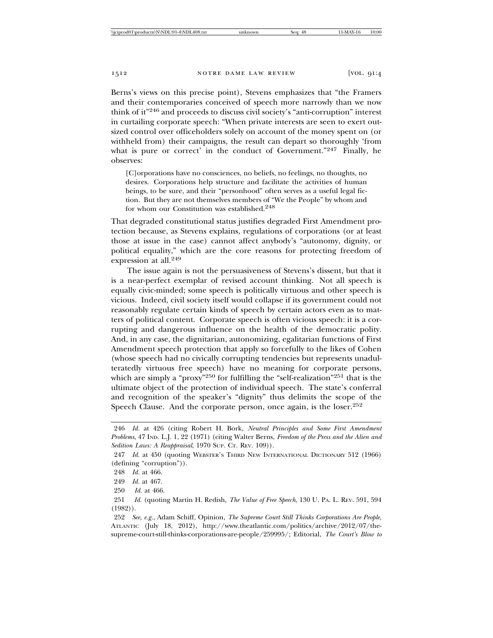Berns's views on this precise point), Stevens emphasizes that "the Framers and their contemporaries conceived of speech more narrowly than we now think of it"246 and proceeds to discuss civil society's "anti-corruption" interest in curtailing corporate speech: "When private interests are seen to exert outsized control over officeholders solely on account of the money spent on (or withheld from) their campaigns, the result can depart so thoroughly 'from what is pure or correct' in the conduct of Government."<sup>247</sup> Finally, he observes:

[C]orporations have no consciences, no beliefs, no feelings, no thoughts, no desires. Corporations help structure and facilitate the activities of human beings, to be sure, and their "personhood" often serves as a useful legal fiction. But they are not themselves members of "We the People" by whom and for whom our Constitution was established.248

That degraded constitutional status justifies degraded First Amendment protection because, as Stevens explains, regulations of corporations (or at least those at issue in the case) cannot affect anybody's "autonomy, dignity, or political equality," which are the core reasons for protecting freedom of expression at all.<sup>249</sup>

The issue again is not the persuasiveness of Stevens's dissent, but that it is a near-perfect exemplar of revised account thinking. Not all speech is equally civic-minded; some speech is politically virtuous and other speech is vicious. Indeed, civil society itself would collapse if its government could not reasonably regulate certain kinds of speech by certain actors even as to matters of political content. Corporate speech is often vicious speech: it is a corrupting and dangerous influence on the health of the democratic polity. And, in any case, the dignitarian, autonomizing, egalitarian functions of First Amendment speech protection that apply so forcefully to the likes of Cohen (whose speech had no civically corrupting tendencies but represents unadulteratedly virtuous free speech) have no meaning for corporate persons, which are simply a "proxy"<sup>250</sup> for fulfilling the "self-realization"<sup>251</sup> that is the ultimate object of the protection of individual speech. The state's conferral and recognition of the speaker's "dignity" thus delimits the scope of the Speech Clause. And the corporate person, once again, is the loser.<sup>252</sup>

<sup>246</sup> *Id.* at 426 (citing Robert H. Bork, *Neutral Principles and Some First Amendment Problems*, 47 IND. L.J. 1, 22 (1971) (citing Walter Berns, *Freedom of the Press and the Alien and Sedition Laws: A Reappraisal*, 1970 SUP. CT. REV. 109)).

<sup>247</sup> *Id.* at 450 (quoting WEBSTER'S THIRD NEW INTERNATIONAL DICTIONARY 512 (1966) (defining "corruption")).

<sup>248</sup> *Id.* at 466.

<sup>249</sup> *Id.* at 467.

<sup>250</sup> *Id.* at 466.

<sup>251</sup> *Id.* (quoting Martin H. Redish, *The Value of Free Speech*, 130 U. PA. L. REV. 591, 594 (1982)).

<sup>252</sup> *See, e.g.*, Adam Schiff, Opinion, *The Supreme Court Still Thinks Corporations Are People*, ATLANTIC (July 18, 2012), http://www.theatlantic.com/politics/archive/2012/07/thesupreme-court-still-thinks-corporations-are-people/259995/; Editorial, *The Court's Blow to*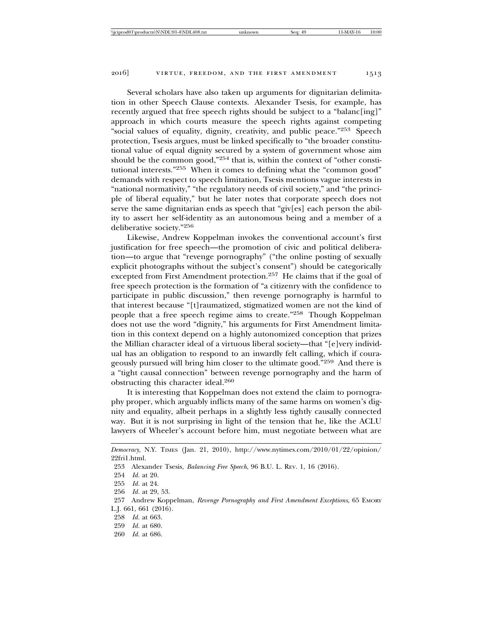Several scholars have also taken up arguments for dignitarian delimitation in other Speech Clause contexts. Alexander Tsesis, for example, has recently argued that free speech rights should be subject to a "balanc[ing]" approach in which courts measure the speech rights against competing "social values of equality, dignity, creativity, and public peace."253 Speech protection, Tsesis argues, must be linked specifically to "the broader constitu-

tional value of equal dignity secured by a system of government whose aim should be the common good,"254 that is, within the context of "other constitutional interests."255 When it comes to defining what the "common good" demands with respect to speech limitation, Tsesis mentions vague interests in "national normativity," "the regulatory needs of civil society," and "the principle of liberal equality," but he later notes that corporate speech does not serve the same dignitarian ends as speech that "giv[es] each person the ability to assert her self-identity as an autonomous being and a member of a deliberative society."<sup>256</sup>

Likewise, Andrew Koppelman invokes the conventional account's first justification for free speech—the promotion of civic and political deliberation—to argue that "revenge pornography" ("the online posting of sexually explicit photographs without the subject's consent") should be categorically excepted from First Amendment protection.257 He claims that if the goal of free speech protection is the formation of "a citizenry with the confidence to participate in public discussion," then revenge pornography is harmful to that interest because "[t]raumatized, stigmatized women are not the kind of people that a free speech regime aims to create."258 Though Koppelman does not use the word "dignity," his arguments for First Amendment limitation in this context depend on a highly autonomized conception that prizes the Millian character ideal of a virtuous liberal society—that "[e]very individual has an obligation to respond to an inwardly felt calling, which if courageously pursued will bring him closer to the ultimate good."259 And there is a "tight causal connection" between revenge pornography and the harm of obstructing this character ideal.<sup>260</sup>

It is interesting that Koppelman does not extend the claim to pornography proper, which arguably inflicts many of the same harms on women's dignity and equality, albeit perhaps in a slightly less tightly causally connected way. But it is not surprising in light of the tension that he, like the ACLU lawyers of Wheeler's account before him, must negotiate between what are

258 *Id.* at 663.

260 *Id.* at 686.

*Democracy*, N.Y. TIMES (Jan. 21, 2010), http://www.nytimes.com/2010/01/22/opinion/ 22fri1.html.

<sup>253</sup> Alexander Tsesis, *Balancing Free Speech*, 96 B.U. L. REV. 1, 16 (2016).

<sup>254</sup> *Id.* at 20.

<sup>255</sup> *Id.* at 24.

<sup>256</sup> *Id.* at 29, 53.

<sup>257</sup> Andrew Koppelman, *Revenge Pornography and First Amendment Exceptions*, 65 EMORY L.J. 661, 661 (2016).

<sup>259</sup> *Id.* at 680.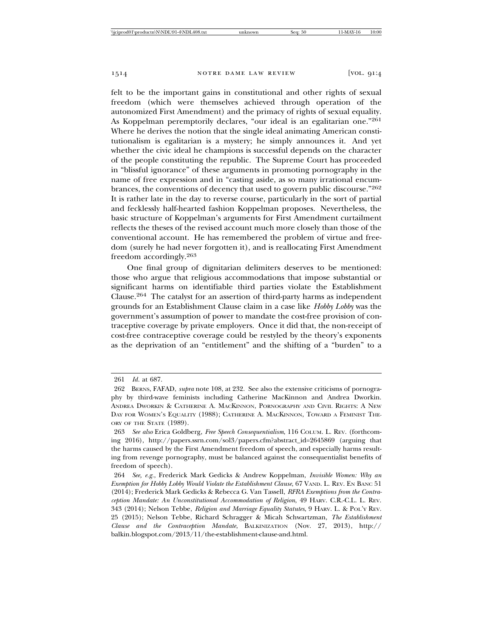felt to be the important gains in constitutional and other rights of sexual freedom (which were themselves achieved through operation of the autonomized First Amendment) and the primacy of rights of sexual equality. As Koppelman peremptorily declares, "our ideal is an egalitarian one."<sup>261</sup> Where he derives the notion that the single ideal animating American constitutionalism is egalitarian is a mystery; he simply announces it. And yet whether the civic ideal he champions is successful depends on the character of the people constituting the republic. The Supreme Court has proceeded in "blissful ignorance" of these arguments in promoting pornography in the name of free expression and in "casting aside, as so many irrational encumbrances, the conventions of decency that used to govern public discourse."<sup>262</sup> It is rather late in the day to reverse course, particularly in the sort of partial and fecklessly half-hearted fashion Koppelman proposes. Nevertheless, the basic structure of Koppelman's arguments for First Amendment curtailment reflects the theses of the revised account much more closely than those of the conventional account. He has remembered the problem of virtue and freedom (surely he had never forgotten it), and is reallocating First Amendment freedom accordingly.<sup>263</sup>

One final group of dignitarian delimiters deserves to be mentioned: those who argue that religious accommodations that impose substantial or significant harms on identifiable third parties violate the Establishment Clause.264 The catalyst for an assertion of third-party harms as independent grounds for an Establishment Clause claim in a case like *Hobby Lobby* was the government's assumption of power to mandate the cost-free provision of contraceptive coverage by private employers. Once it did that, the non-receipt of cost-free contraceptive coverage could be restyled by the theory's exponents as the deprivation of an "entitlement" and the shifting of a "burden" to a

<sup>261</sup> *Id.* at 687.

<sup>262</sup> BERNS, FAFAD, *supra* note 108, at 232. See also the extensive criticisms of pornography by third-wave feminists including Catherine MacKinnon and Andrea Dworkin. ANDREA DWORKIN & CATHERINE A. MACKINNON, PORNOGRAPHY AND CIVIL RIGHTS: A NEW DAY FOR WOMEN'S EQUALITY (1988); CATHERINE A. MACKINNON, TOWARD A FEMINIST THE-ORY OF THE STATE (1989).

<sup>263</sup> *See also* Erica Goldberg, *Free Speech Consequentialism*, 116 COLUM. L. REV. (forthcoming 2016), http://papers.ssrn.com/sol3/papers.cfm?abstract\_id=2645869 (arguing that the harms caused by the First Amendment freedom of speech, and especially harms resulting from revenge pornography, must be balanced against the consequentialist benefits of freedom of speech).

<sup>264</sup> *See, e.g.*, Frederick Mark Gedicks & Andrew Koppelman, *Invisible Women: Why an Exemption for Hobby Lobby Would Violate the Establishment Clause*, 67 VAND. L. REV. EN BANC 51 (2014); Frederick Mark Gedicks & Rebecca G. Van Tassell, *RFRA Exemptions from the Contraception Mandate: An Unconstitutional Accommodation of Religion*, 49 HARV. C.R.-C.L. L. REV. 343 (2014); Nelson Tebbe, *Religion and Marriage Equality Statutes*, 9 HARV. L. & POL'Y REV. 25 (2015); Nelson Tebbe, Richard Schragger & Micah Schwartzman, *The Establishment Clause and the Contraception Mandate*, BALKINIZATION (Nov. 27, 2013), http:// balkin.blogspot.com/2013/11/the-establishment-clause-and.html.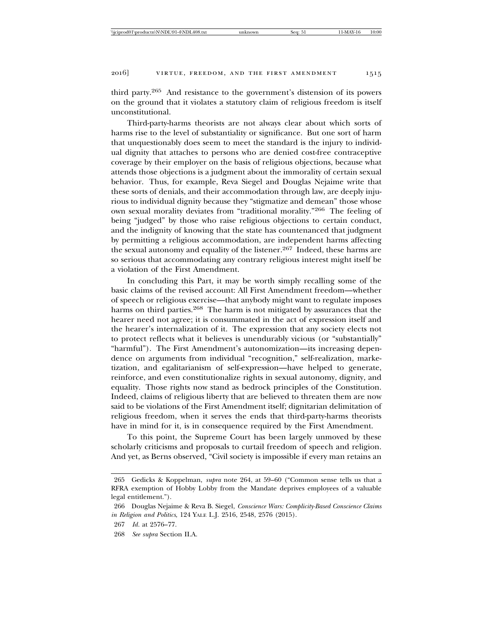third party.265 And resistance to the government's distension of its powers on the ground that it violates a statutory claim of religious freedom is itself unconstitutional.

Third-party-harms theorists are not always clear about which sorts of harms rise to the level of substantiality or significance. But one sort of harm that unquestionably does seem to meet the standard is the injury to individual dignity that attaches to persons who are denied cost-free contraceptive coverage by their employer on the basis of religious objections, because what attends those objections is a judgment about the immorality of certain sexual behavior. Thus, for example, Reva Siegel and Douglas Nejaime write that these sorts of denials, and their accommodation through law, are deeply injurious to individual dignity because they "stigmatize and demean" those whose own sexual morality deviates from "traditional morality."266 The feeling of being "judged" by those who raise religious objections to certain conduct, and the indignity of knowing that the state has countenanced that judgment by permitting a religious accommodation, are independent harms affecting the sexual autonomy and equality of the listener.<sup>267</sup> Indeed, these harms are so serious that accommodating any contrary religious interest might itself be a violation of the First Amendment.

In concluding this Part, it may be worth simply recalling some of the basic claims of the revised account: All First Amendment freedom—whether of speech or religious exercise—that anybody might want to regulate imposes harms on third parties.<sup>268</sup> The harm is not mitigated by assurances that the hearer need not agree; it is consummated in the act of expression itself and the hearer's internalization of it. The expression that any society elects not to protect reflects what it believes is unendurably vicious (or "substantially" "harmful"). The First Amendment's autonomization—its increasing dependence on arguments from individual "recognition," self-realization, marketization, and egalitarianism of self-expression—have helped to generate, reinforce, and even constitutionalize rights in sexual autonomy, dignity, and equality. Those rights now stand as bedrock principles of the Constitution. Indeed, claims of religious liberty that are believed to threaten them are now said to be violations of the First Amendment itself; dignitarian delimitation of religious freedom, when it serves the ends that third-party-harms theorists have in mind for it, is in consequence required by the First Amendment.

To this point, the Supreme Court has been largely unmoved by these scholarly criticisms and proposals to curtail freedom of speech and religion. And yet, as Berns observed, "Civil society is impossible if every man retains an

<sup>265</sup> Gedicks & Koppelman, *supra* note 264, at 59–60 ("Common sense tells us that a RFRA exemption of Hobby Lobby from the Mandate deprives employees of a valuable legal entitlement.").

<sup>266</sup> Douglas Nejaime & Reva B. Siegel, *Conscience Wars: Complicity-Based Conscience Claims in Religion and Politics*, 124 YALE L.J. 2516, 2548, 2576 (2015).

<sup>267</sup> *Id.* at 2576–77.

<sup>268</sup> *See supra* Section II.A.